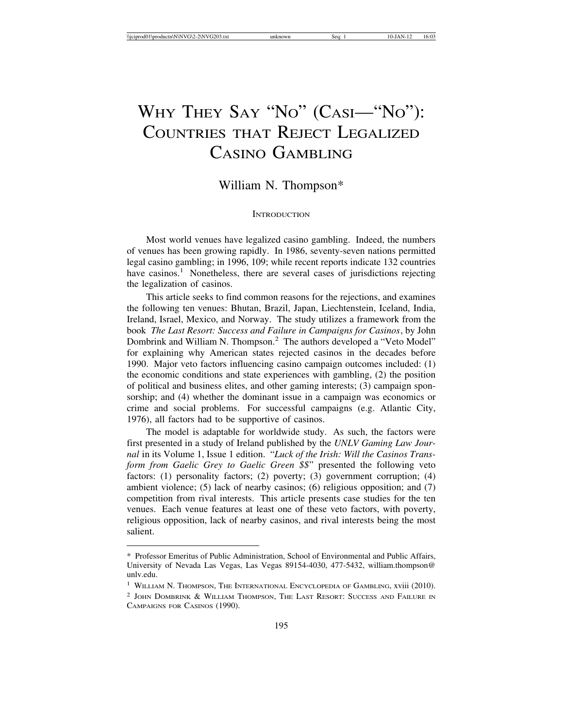# WHY THEY SAY "NO" (CASI—"NO"): COUNTRIES THAT REJECT LEGALIZED CASINO GAMBLING

# William N. Thompson\*

## **INTRODUCTION**

Most world venues have legalized casino gambling. Indeed, the numbers of venues has been growing rapidly. In 1986, seventy-seven nations permitted legal casino gambling; in 1996, 109; while recent reports indicate 132 countries have casinos.<sup>1</sup> Nonetheless, there are several cases of jurisdictions rejecting the legalization of casinos.

This article seeks to find common reasons for the rejections, and examines the following ten venues: Bhutan, Brazil, Japan, Liechtenstein, Iceland, India, Ireland, Israel, Mexico, and Norway. The study utilizes a framework from the book *The Last Resort: Success and Failure in Campaigns for Casinos*, by John Dombrink and William N. Thompson.<sup>2</sup> The authors developed a "Veto Model" for explaining why American states rejected casinos in the decades before 1990. Major veto factors influencing casino campaign outcomes included: (1) the economic conditions and state experiences with gambling, (2) the position of political and business elites, and other gaming interests; (3) campaign sponsorship; and (4) whether the dominant issue in a campaign was economics or crime and social problems. For successful campaigns (e.g. Atlantic City, 1976), all factors had to be supportive of casinos.

The model is adaptable for worldwide study. As such, the factors were first presented in a study of Ireland published by the *UNLV Gaming Law Journal* in its Volume 1, Issue 1 edition. "*Luck of the Irish: Will the Casinos Transform from Gaelic Grey to Gaelic Green \$\$*" presented the following veto factors: (1) personality factors; (2) poverty; (3) government corruption; (4) ambient violence; (5) lack of nearby casinos; (6) religious opposition; and (7) competition from rival interests. This article presents case studies for the ten venues. Each venue features at least one of these veto factors, with poverty, religious opposition, lack of nearby casinos, and rival interests being the most salient.

<sup>\*</sup> Professor Emeritus of Public Administration, School of Environmental and Public Affairs, University of Nevada Las Vegas, Las Vegas 89154-4030, 477-5432, william.thompson@ unlv.edu.

<sup>&</sup>lt;sup>1</sup> WILLIAM N. THOMPSON, THE INTERNATIONAL ENCYCLOPEDIA OF GAMBLING, XVIII (2010).

<sup>2</sup> JOHN DOMBRINK & WILLIAM THOMPSON, THE LAST RESORT: SUCCESS AND FAILURE IN CAMPAIGNS FOR CASINOS (1990).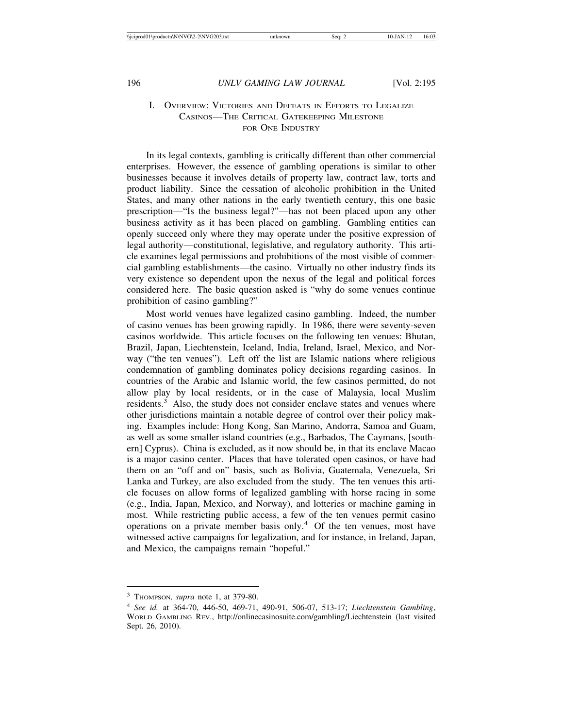## I. OVERVIEW: VICTORIES AND DEFEATS IN EFFORTS TO LEGALIZE CASINOS—THE CRITICAL GATEKEEPING MILESTONE FOR ONE INDUSTRY

In its legal contexts, gambling is critically different than other commercial enterprises. However, the essence of gambling operations is similar to other businesses because it involves details of property law, contract law, torts and product liability. Since the cessation of alcoholic prohibition in the United States, and many other nations in the early twentieth century, this one basic prescription—"Is the business legal?"—has not been placed upon any other business activity as it has been placed on gambling. Gambling entities can openly succeed only where they may operate under the positive expression of legal authority—constitutional, legislative, and regulatory authority. This article examines legal permissions and prohibitions of the most visible of commercial gambling establishments—the casino. Virtually no other industry finds its very existence so dependent upon the nexus of the legal and political forces considered here. The basic question asked is "why do some venues continue prohibition of casino gambling?"

Most world venues have legalized casino gambling. Indeed, the number of casino venues has been growing rapidly. In 1986, there were seventy-seven casinos worldwide. This article focuses on the following ten venues: Bhutan, Brazil, Japan, Liechtenstein, Iceland, India, Ireland, Israel, Mexico, and Norway ("the ten venues"). Left off the list are Islamic nations where religious condemnation of gambling dominates policy decisions regarding casinos. In countries of the Arabic and Islamic world, the few casinos permitted, do not allow play by local residents, or in the case of Malaysia, local Muslim residents.3 Also, the study does not consider enclave states and venues where other jurisdictions maintain a notable degree of control over their policy making. Examples include: Hong Kong, San Marino, Andorra, Samoa and Guam, as well as some smaller island countries (e.g., Barbados, The Caymans, [southern] Cyprus). China is excluded, as it now should be, in that its enclave Macao is a major casino center. Places that have tolerated open casinos, or have had them on an "off and on" basis, such as Bolivia, Guatemala, Venezuela, Sri Lanka and Turkey, are also excluded from the study. The ten venues this article focuses on allow forms of legalized gambling with horse racing in some (e.g., India, Japan, Mexico, and Norway), and lotteries or machine gaming in most. While restricting public access, a few of the ten venues permit casino operations on a private member basis only.4 Of the ten venues, most have witnessed active campaigns for legalization, and for instance, in Ireland, Japan, and Mexico, the campaigns remain "hopeful."

<sup>3</sup> THOMPSON*, supra* note 1, at 379-80.

<sup>4</sup> *See id.* at 364-70, 446-50, 469-71, 490-91, 506-07, 513-17; *Liechtenstein Gambling*, WORLD GAMBLING REV., http://onlinecasinosuite.com/gambling/Liechtenstein (last visited Sept. 26, 2010).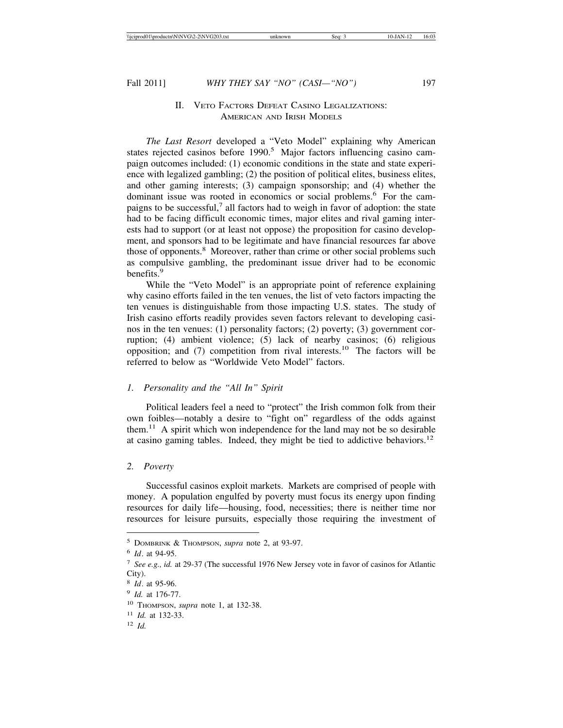## II. VETO FACTORS DEFEAT CASINO LEGALIZATIONS: AMERICAN AND IRISH MODELS

*The Last Resort* developed a "Veto Model" explaining why American states rejected casinos before 1990.<sup>5</sup> Major factors influencing casino campaign outcomes included: (1) economic conditions in the state and state experience with legalized gambling; (2) the position of political elites, business elites, and other gaming interests; (3) campaign sponsorship; and (4) whether the dominant issue was rooted in economics or social problems.<sup>6</sup> For the campaigns to be successful,<sup>7</sup> all factors had to weigh in favor of adoption: the state had to be facing difficult economic times, major elites and rival gaming interests had to support (or at least not oppose) the proposition for casino development, and sponsors had to be legitimate and have financial resources far above those of opponents.<sup>8</sup> Moreover, rather than crime or other social problems such as compulsive gambling, the predominant issue driver had to be economic benefits.<sup>9</sup>

While the "Veto Model" is an appropriate point of reference explaining why casino efforts failed in the ten venues, the list of veto factors impacting the ten venues is distinguishable from those impacting U.S. states. The study of Irish casino efforts readily provides seven factors relevant to developing casinos in the ten venues: (1) personality factors; (2) poverty; (3) government corruption; (4) ambient violence; (5) lack of nearby casinos; (6) religious opposition; and  $(7)$  competition from rival interests.<sup>10</sup> The factors will be referred to below as "Worldwide Veto Model" factors.

## *1. Personality and the "All In" Spirit*

Political leaders feel a need to "protect" the Irish common folk from their own foibles—notably a desire to "fight on" regardless of the odds against them.<sup>11</sup> A spirit which won independence for the land may not be so desirable at casino gaming tables. Indeed, they might be tied to addictive behaviors.<sup>12</sup>

## *2. Poverty*

Successful casinos exploit markets. Markets are comprised of people with money. A population engulfed by poverty must focus its energy upon finding resources for daily life—housing, food, necessities; there is neither time nor resources for leisure pursuits, especially those requiring the investment of

<sup>5</sup> DOMBRINK & THOMPSON, *supra* note 2, at 93-97.

<sup>6</sup> *Id*. at 94-95.

<sup>7</sup> *See e.g., id.* at 29-37 (The successful 1976 New Jersey vote in favor of casinos for Atlantic City).

<sup>8</sup> *Id*. at 95-96.

<sup>9</sup> *Id.* at 176-77.

<sup>10</sup> THOMPSON, *supra* note 1, at 132-38.

<sup>11</sup> *Id.* at 132-33.

<sup>12</sup> *Id.*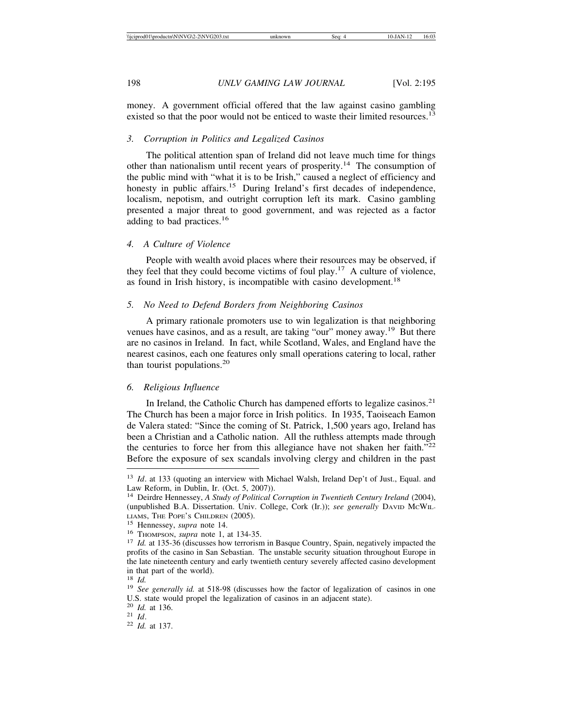money. A government official offered that the law against casino gambling existed so that the poor would not be enticed to waste their limited resources.<sup>13</sup>

#### *3. Corruption in Politics and Legalized Casinos*

The political attention span of Ireland did not leave much time for things other than nationalism until recent years of prosperity.14 The consumption of the public mind with "what it is to be Irish," caused a neglect of efficiency and honesty in public affairs.<sup>15</sup> During Ireland's first decades of independence, localism, nepotism, and outright corruption left its mark. Casino gambling presented a major threat to good government, and was rejected as a factor adding to bad practices.<sup>16</sup>

#### *4. A Culture of Violence*

People with wealth avoid places where their resources may be observed, if they feel that they could become victims of foul play.17 A culture of violence, as found in Irish history, is incompatible with casino development.<sup>18</sup>

## *5. No Need to Defend Borders from Neighboring Casinos*

A primary rationale promoters use to win legalization is that neighboring venues have casinos, and as a result, are taking "our" money away.19 But there are no casinos in Ireland. In fact, while Scotland, Wales, and England have the nearest casinos, each one features only small operations catering to local, rather than tourist populations.<sup>20</sup>

## *6. Religious Influence*

In Ireland, the Catholic Church has dampened efforts to legalize casinos.<sup>21</sup> The Church has been a major force in Irish politics. In 1935, Taoiseach Eamon de Valera stated: "Since the coming of St. Patrick, 1,500 years ago, Ireland has been a Christian and a Catholic nation. All the ruthless attempts made through the centuries to force her from this allegiance have not shaken her faith."<sup>22</sup> Before the exposure of sex scandals involving clergy and children in the past

<sup>13</sup> *Id*. at 133 (quoting an interview with Michael Walsh, Ireland Dep't of Just., Equal. and Law Reform, in Dublin, Ir. (Oct. 5, 2007)).

<sup>14</sup> Deirdre Hennessey, *A Study of Political Corruption in Twentieth Century Ireland* (2004), (unpublished B.A. Dissertation. Univ. College, Cork (Ir.)); *see generally* DAVID MCWIL-LIAMS, THE POPE'S CHILDREN (2005).<br><sup>15</sup> Hennessey, *supra* note 14.<br><sup>16</sup> THOMPSON, *supra* note 1, at 134-35.<br><sup>17</sup> *Id.* at 135-36 (discusses how terrorism in Basque Country, Spain, negatively impacted the

profits of the casino in San Sebastian. The unstable security situation throughout Europe in the late nineteenth century and early twentieth century severely affected casino development in that part of the world).<br> $\frac{18}{16}$ 

<sup>&</sup>lt;sup>19</sup> *See generally id.* at 518-98 (discusses how the factor of legalization of casinos in one U.S. state would propel the legalization of casinos in an adjacent state).<br><sup>20</sup> *Id.* at 136.

<sup>20</sup> *Id.* at 136. <sup>21</sup> *Id*. <sup>22</sup> *Id.* at 137.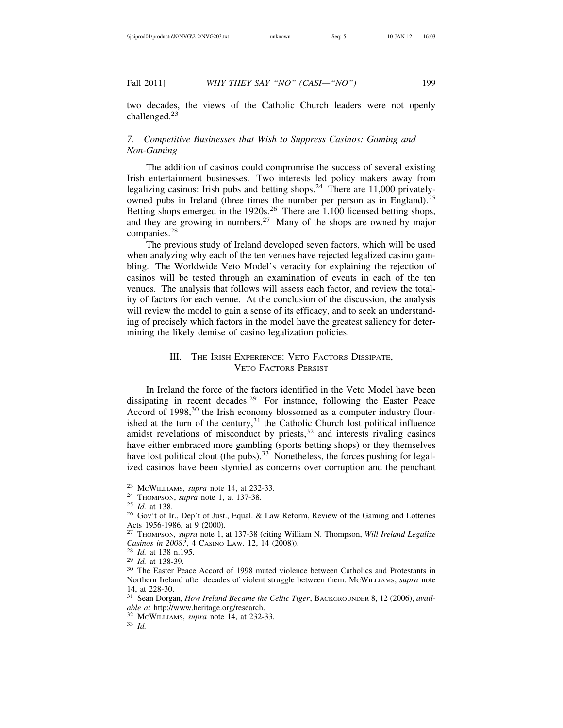two decades, the views of the Catholic Church leaders were not openly challenged.<sup>23</sup>

## *7. Competitive Businesses that Wish to Suppress Casinos: Gaming and Non-Gaming*

The addition of casinos could compromise the success of several existing Irish entertainment businesses. Two interests led policy makers away from legalizing casinos: Irish pubs and betting shops.<sup>24</sup> There are 11,000 privatelyowned pubs in Ireland (three times the number per person as in England).<sup>25</sup> Betting shops emerged in the 1920s.<sup>26</sup> There are 1,100 licensed betting shops, and they are growing in numbers.27 Many of the shops are owned by major companies.28

The previous study of Ireland developed seven factors, which will be used when analyzing why each of the ten venues have rejected legalized casino gambling. The Worldwide Veto Model's veracity for explaining the rejection of casinos will be tested through an examination of events in each of the ten venues. The analysis that follows will assess each factor, and review the totality of factors for each venue. At the conclusion of the discussion, the analysis will review the model to gain a sense of its efficacy, and to seek an understanding of precisely which factors in the model have the greatest saliency for determining the likely demise of casino legalization policies.

## III. THE IRISH EXPERIENCE: VETO FACTORS DISSIPATE, VETO FACTORS PERSIST

In Ireland the force of the factors identified in the Veto Model have been dissipating in recent decades.29 For instance, following the Easter Peace Accord of 1998,<sup>30</sup> the Irish economy blossomed as a computer industry flourished at the turn of the century, $31$  the Catholic Church lost political influence amidst revelations of misconduct by priests, $32$  and interests rivaling casinos have either embraced more gambling (sports betting shops) or they themselves have lost political clout (the pubs).<sup>33</sup> Nonetheless, the forces pushing for legalized casinos have been stymied as concerns over corruption and the penchant

<sup>&</sup>lt;sup>23</sup> McWILLIAMS, *supra* note 14, at 232-33.<br><sup>24</sup> THOMPSON, *supra* note 1, at 137-38.<br><sup>25</sup> *Id.* at 138.<br><sup>26</sup> Gov't of Ir., Dep't of Just., Equal. & Law Reform, Review of the Gaming and Lotteries Acts 1956-1986, at 9 (2000).

<sup>27</sup> THOMPSON*, supra* note 1, at 137-38 (citing William N. Thompson, *Will Ireland Legalize Casinos in 2008?*, 4 CASINO LAW. 12, 14 (2008)).<br><sup>28</sup> *Id.* at 138 n.195.<br><sup>29</sup> *Id.* at 138-39.<br><sup>30</sup> The Easter Peace Accord of 1998 muted violence between Catholics and Protestants in

Northern Ireland after decades of violent struggle between them. MCWILLIAMS, *supra* note 14, at 228-30.

<sup>31</sup> Sean Dorgan, *How Ireland Became the Celtic Tiger*, BACKGROUNDER 8, 12 (2006), *available at* http://www.heritage.org/research. <sup>32</sup> MCWILLIAMS, *supra* note 14, at 232-33. <sup>33</sup> *Id.*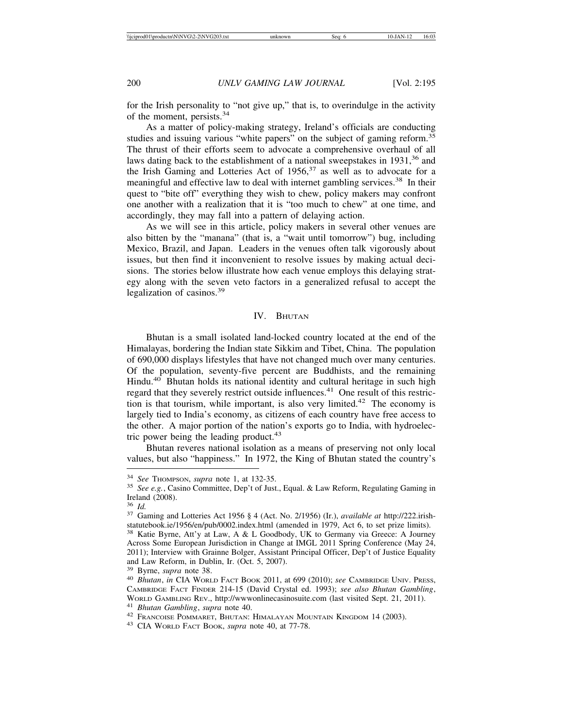for the Irish personality to "not give up," that is, to overindulge in the activity of the moment, persists.<sup>34</sup>

As a matter of policy-making strategy, Ireland's officials are conducting studies and issuing various "white papers" on the subject of gaming reform.<sup>35</sup> The thrust of their efforts seem to advocate a comprehensive overhaul of all laws dating back to the establishment of a national sweepstakes in  $1931<sup>36</sup>$  and the Irish Gaming and Lotteries Act of  $1956<sup>37</sup>$  as well as to advocate for a meaningful and effective law to deal with internet gambling services.<sup>38</sup> In their quest to "bite off" everything they wish to chew, policy makers may confront one another with a realization that it is "too much to chew" at one time, and accordingly, they may fall into a pattern of delaying action.

As we will see in this article, policy makers in several other venues are also bitten by the "manana" (that is, a "wait until tomorrow") bug, including Mexico, Brazil, and Japan. Leaders in the venues often talk vigorously about issues, but then find it inconvenient to resolve issues by making actual decisions. The stories below illustrate how each venue employs this delaying strategy along with the seven veto factors in a generalized refusal to accept the legalization of casinos.<sup>39</sup>

#### IV. BHUTAN

Bhutan is a small isolated land-locked country located at the end of the Himalayas, bordering the Indian state Sikkim and Tibet, China. The population of 690,000 displays lifestyles that have not changed much over many centuries. Of the population, seventy-five percent are Buddhists, and the remaining Hindu.<sup>40</sup> Bhutan holds its national identity and cultural heritage in such high regard that they severely restrict outside influences.<sup>41</sup> One result of this restriction is that tourism, while important, is also very limited.<sup>42</sup> The economy is largely tied to India's economy, as citizens of each country have free access to the other. A major portion of the nation's exports go to India, with hydroelectric power being the leading product. $43$ 

Bhutan reveres national isolation as a means of preserving not only local values, but also "happiness." In 1972, the King of Bhutan stated the country's

<sup>34</sup> *See* THOMPSON, *supra* note 1, at 132-35. <sup>35</sup> *See e.g.*, Casino Committee, Dep't of Just., Equal. & Law Reform, Regulating Gaming in Ireland (2008).<br> $36$  *Id.* 

<sup>&</sup>lt;sup>37</sup> Gaming and Lotteries Act 1956 § 4 (Act. No. 2/1956) (Ir.), *available at http://222.irish*statutebook.ie/1956/en/pub/0002.index.html (amended in 1979, Act 6, to set prize limits). <sup>38</sup> Katie Byrne, Att'y at Law, A & L Goodbody, UK to Germany via Greece: A Journey Across Some European Jurisdiction in Change at IMGL 2011 Spring Conference (May 24, 2011); Interview with Grainne Bolger, Assistant Principal Officer, Dep't of Justice Equality and Law Reform, in Dublin, Ir. (Oct. 5, 2007).  $39$  Byrne, *supra* note 38.

<sup>&</sup>lt;sup>40</sup> Bhutan, *in* CIA WORLD FACT BOOK 2011, at 699 (2010); see CAMBRIDGE UNIV. PRESS, CAMBRIDGE FACT FINDER 214-15 (David Crystal ed. 1993); *see also Bhutan Gambling*, WORLD GAMBLING REV., http://www.onlinecasinosuite.com (last visited Sept. 21, 2011).<br>
<sup>41</sup> Bhutan Gambling, supra note 40.<br>
<sup>42</sup> FRANCOISE POMMARET, BHUTAN: HIMALAYAN MOUNTAIN KINGDOM 14 (2003).<br>
<sup>43</sup> CIA WORLD FACT BOOK,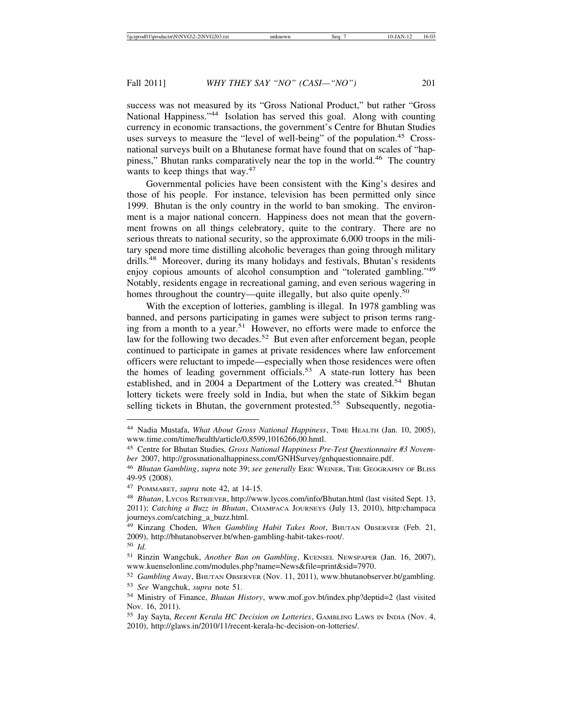success was not measured by its "Gross National Product," but rather "Gross National Happiness."<sup>44</sup> Isolation has served this goal. Along with counting currency in economic transactions, the government's Centre for Bhutan Studies uses surveys to measure the "level of well-being" of the population.<sup>45</sup> Crossnational surveys built on a Bhutanese format have found that on scales of "happiness," Bhutan ranks comparatively near the top in the world.<sup>46</sup> The country wants to keep things that way.<sup>47</sup>

Governmental policies have been consistent with the King's desires and those of his people. For instance, television has been permitted only since 1999. Bhutan is the only country in the world to ban smoking. The environment is a major national concern. Happiness does not mean that the government frowns on all things celebratory, quite to the contrary. There are no serious threats to national security, so the approximate 6,000 troops in the military spend more time distilling alcoholic beverages than going through military drills.<sup>48</sup> Moreover, during its many holidays and festivals, Bhutan's residents enjoy copious amounts of alcohol consumption and "tolerated gambling."<sup>49</sup> Notably, residents engage in recreational gaming, and even serious wagering in homes throughout the country—quite illegally, but also quite openly.<sup>50</sup>

With the exception of lotteries, gambling is illegal. In 1978 gambling was banned, and persons participating in games were subject to prison terms ranging from a month to a year.<sup>51</sup> However, no efforts were made to enforce the law for the following two decades.<sup>52</sup> But even after enforcement began, people continued to participate in games at private residences where law enforcement officers were reluctant to impede—especially when those residences were often the homes of leading government officials.<sup>53</sup> A state-run lottery has been established, and in 2004 a Department of the Lottery was created.<sup>54</sup> Bhutan lottery tickets were freely sold in India, but when the state of Sikkim began selling tickets in Bhutan, the government protested.<sup>55</sup> Subsequently, negotia-

<sup>44</sup> Nadia Mustafa, *What About Gross National Happiness*, TIME HEALTH (Jan. 10, 2005), www.time.com/time/health/article/0,8599,1016266,00.hmtl.

<sup>45</sup> Centre for Bhutan Studies*, Gross National Happiness Pre-Test Questionnaire #3 November* 2007, http://grossnationalhappiness.com/GNHSurvey/gnhquestionnaire.pdf.

<sup>46</sup> *Bhutan Gambling*, *supra* note 39; *see generally* ERIC WEINER, THE GEOGRAPHY OF BLISS 49-95 (2008).

<sup>47</sup> POMMARET, *supra* note 42, at 14-15.

<sup>48</sup> *Bhutan*, LYCOS RETRIEVER, http://www.lycos.com/info/Bhutan.html (last visited Sept. 13, 2011); *Catching a Buzz in Bhutan*, CHAMPACA JOURNEYS (July 13, 2010), http:champaca journeys.com/catching\_a\_buzz.html.

<sup>49</sup> Kinzang Choden, *When Gambling Habit Takes Root*, BHUTAN OBSERVER (Feb. 21, 2009), http://bhutanobserver.bt/when-gambling-habit-takes-root/.

<sup>50</sup> *Id.*

<sup>51</sup> Rinzin Wangchuk, *Another Ban on Gambling*, KUENSEL NEWSPAPER (Jan. 16, 2007), www.kuenselonline.com/modules.php?name=News&file=print&sid=7970.

<sup>52</sup> *Gambling Away*, BHUTAN OBSERVER (Nov. 11, 2011), www.bhutanobserver.bt/gambling. <sup>53</sup> *See* Wangchuk, *supra* note 51.

<sup>54</sup> Ministry of Finance, *Bhutan History*, www.mof.gov.bt/index.php?deptid=2 (last visited Nov. 16, 2011).

<sup>55</sup> Jay Sayta, *Recent Kerala HC Decision on Lotteries*, GAMBLING LAWS IN INDIA (Nov. 4, 2010), http://glaws.in/2010/11/recent-kerala-hc-decision-on-lotteries/.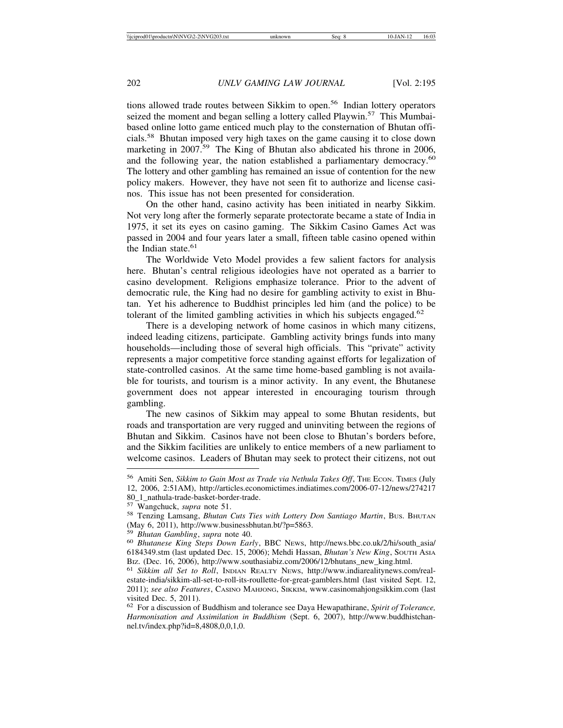tions allowed trade routes between Sikkim to open.<sup>56</sup> Indian lottery operators seized the moment and began selling a lottery called Playwin.<sup>57</sup> This Mumbaibased online lotto game enticed much play to the consternation of Bhutan officials.58 Bhutan imposed very high taxes on the game causing it to close down marketing in 2007.<sup>59</sup> The King of Bhutan also abdicated his throne in 2006, and the following year, the nation established a parliamentary democracy.<sup>60</sup> The lottery and other gambling has remained an issue of contention for the new policy makers. However, they have not seen fit to authorize and license casinos. This issue has not been presented for consideration.

On the other hand, casino activity has been initiated in nearby Sikkim. Not very long after the formerly separate protectorate became a state of India in 1975, it set its eyes on casino gaming. The Sikkim Casino Games Act was passed in 2004 and four years later a small, fifteen table casino opened within the Indian state.<sup>61</sup>

The Worldwide Veto Model provides a few salient factors for analysis here. Bhutan's central religious ideologies have not operated as a barrier to casino development. Religions emphasize tolerance. Prior to the advent of democratic rule, the King had no desire for gambling activity to exist in Bhutan. Yet his adherence to Buddhist principles led him (and the police) to be tolerant of the limited gambling activities in which his subjects engaged.<sup>62</sup>

There is a developing network of home casinos in which many citizens, indeed leading citizens, participate. Gambling activity brings funds into many households—including those of several high officials. This "private" activity represents a major competitive force standing against efforts for legalization of state-controlled casinos. At the same time home-based gambling is not available for tourists, and tourism is a minor activity. In any event, the Bhutanese government does not appear interested in encouraging tourism through gambling.

The new casinos of Sikkim may appeal to some Bhutan residents, but roads and transportation are very rugged and uninviting between the regions of Bhutan and Sikkim. Casinos have not been close to Bhutan's borders before, and the Sikkim facilities are unlikely to entice members of a new parliament to welcome casinos. Leaders of Bhutan may seek to protect their citizens, not out

80\_1\_nathula-trade-basket-border-trade.<br><sup>57</sup> Wangchuck, *supra* note 51.

<sup>56</sup> Amiti Sen, *Sikkim to Gain Most as Trade via Nethula Takes Off*, THE ECON. TIMES (July 12, 2006, 2:51AM), http://articles.economictimes.indiatimes.com/2006-07-12/news/274217

<sup>58</sup> Tenzing Lamsang, *Bhutan Cuts Ties with Lottery Don Santiago Martin*, Bus. BHUTAN (May 6, 2011), http://www.businessbhutan.bt/?p=5863.

<sup>&</sup>lt;sup>59</sup> *Bhutan Gambling*, *supra* note 40.<br><sup>60</sup> *Bhutanese King Steps Down Early*, BBC News, http://news.bbc.co.uk/2/hi/south\_asia/ 6184349.stm (last updated Dec. 15, 2006); Mehdi Hassan, *Bhutan's New King*, SOUTH ASIA BIZ. (Dec. 16, 2006), http://www.southasiabiz.com/2006/12/bhutans\_new\_king.html.<br><sup>61</sup> *Sikkim all Set to Roll*, INDIAN REALTY NEWS, http://www.indiarealitynews.com/real-

estate-india/sikkim-all-set-to-roll-its-roullette-for-great-gamblers.html (last visited Sept. 12, 2011); *see also Features*, CASINO MAHJONG, SIKKIM, www.casinomahjongsikkim.com (last visited Dec. 5, 2011).

<sup>62</sup> For a discussion of Buddhism and tolerance see Daya Hewapathirane, *Spirit of Tolerance, Harmonisation and Assimilation in Buddhism* (Sept. 6, 2007), http://www.buddhistchannel.tv/index.php?id=8,4808,0,0,1,0.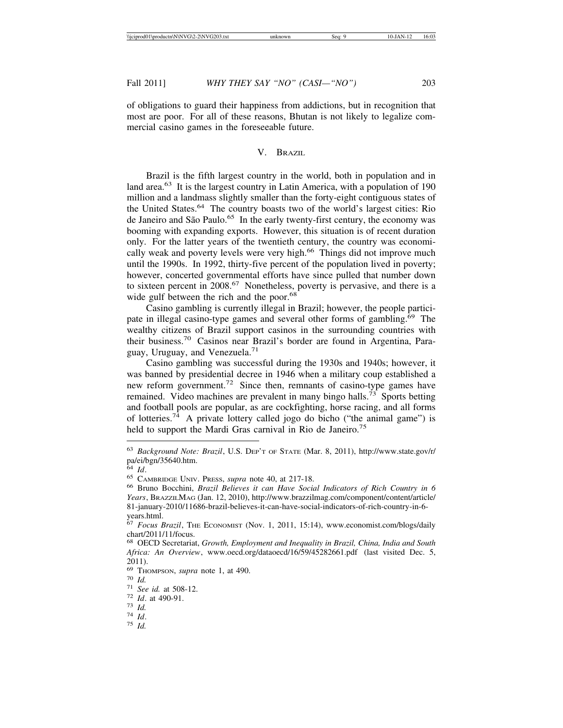of obligations to guard their happiness from addictions, but in recognition that most are poor. For all of these reasons, Bhutan is not likely to legalize commercial casino games in the foreseeable future.

## V. BRAZIL

Brazil is the fifth largest country in the world, both in population and in land area.<sup>63</sup> It is the largest country in Latin America, with a population of 190 million and a landmass slightly smaller than the forty-eight contiguous states of the United States.64 The country boasts two of the world's largest cities: Rio de Janeiro and São Paulo.<sup>65</sup> In the early twenty-first century, the economy was booming with expanding exports. However, this situation is of recent duration only. For the latter years of the twentieth century, the country was economically weak and poverty levels were very high.<sup>66</sup> Things did not improve much until the 1990s. In 1992, thirty-five percent of the population lived in poverty; however, concerted governmental efforts have since pulled that number down to sixteen percent in 2008.<sup>67</sup> Nonetheless, poverty is pervasive, and there is a wide gulf between the rich and the poor.<sup>68</sup>

Casino gambling is currently illegal in Brazil; however, the people participate in illegal casino-type games and several other forms of gambling.<sup>69</sup> The wealthy citizens of Brazil support casinos in the surrounding countries with their business.70 Casinos near Brazil's border are found in Argentina, Paraguay, Uruguay, and Venezuela.<sup>71</sup>

Casino gambling was successful during the 1930s and 1940s; however, it was banned by presidential decree in 1946 when a military coup established a new reform government.72 Since then, remnants of casino-type games have remained. Video machines are prevalent in many bingo halls.<sup>73</sup> Sports betting and football pools are popular, as are cockfighting, horse racing, and all forms of lotteries.74 A private lottery called jogo do bicho ("the animal game") is held to support the Mardi Gras carnival in Rio de Janeiro.<sup>75</sup>

<sup>63</sup> *Background Note: Brazil*, U.S. DEP'T OF STATE (Mar. 8, 2011), http://www.state.gov/r/ pa/ei/bgn/35640.htm.<br> $64$  *Id.* 

<sup>64</sup> *Id*. <sup>65</sup> CAMBRIDGE UNIV. PRESS, *supra* note 40, at 217-18. <sup>66</sup> Bruno Bocchini, *Brazil Believes it can Have Social Indicators of Rich Country in 6 Years*, BRAZZILMAG (Jan. 12, 2010), http://www.brazzilmag.com/component/content/article/ 81-january-2010/11686-brazil-believes-it-can-have-social-indicators-of-rich-country-in-6 years.html.

<sup>67</sup> *Focus Brazil*, THE ECONOMIST (Nov. 1, 2011, 15:14), www.economist.com/blogs/daily chart/2011/11/focus.

<sup>68</sup> OECD Secretariat, *Growth, Employment and Inequality in Brazil, China, India and South Africa: An Overview*, www.oecd.org/dataoecd/16/59/45282661.pdf (last visited Dec. 5, 2011).

<sup>69</sup> THOMPSON, *supra* note 1, at 490. <sup>70</sup> *Id.* <sup>71</sup> *See id.* at 508-12. <sup>72</sup> *Id*. at 490-91. <sup>73</sup> *Id.* <sup>74</sup> *Id*. <sup>75</sup> *Id.*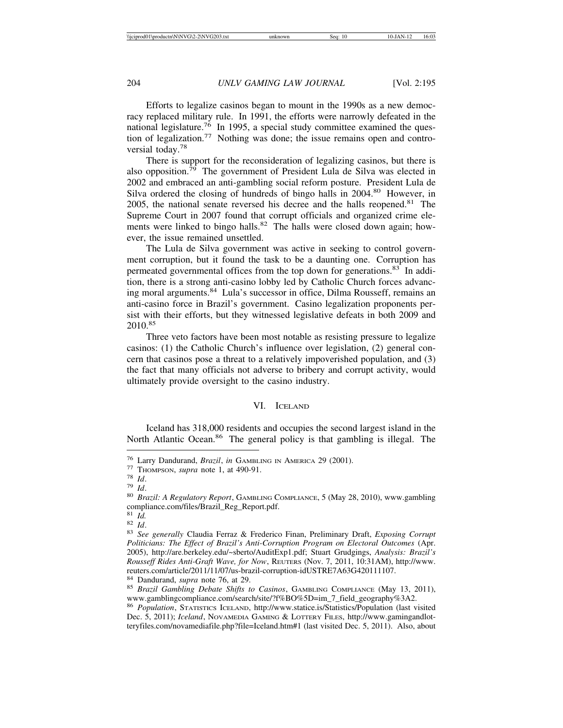Efforts to legalize casinos began to mount in the 1990s as a new democracy replaced military rule. In 1991, the efforts were narrowly defeated in the national legislature.<sup>76</sup> In 1995, a special study committee examined the question of legalization.<sup>77</sup> Nothing was done; the issue remains open and controversial today.<sup>78</sup>

There is support for the reconsideration of legalizing casinos, but there is also opposition. $\frac{79}{9}$  The government of President Lula de Silva was elected in 2002 and embraced an anti-gambling social reform posture. President Lula de Silva ordered the closing of hundreds of bingo halls in 2004.<sup>80</sup> However, in 2005, the national senate reversed his decree and the halls reopened.<sup>81</sup> The Supreme Court in 2007 found that corrupt officials and organized crime elements were linked to bingo halls.<sup>82</sup> The halls were closed down again; however, the issue remained unsettled.

The Lula de Silva government was active in seeking to control government corruption, but it found the task to be a daunting one. Corruption has permeated governmental offices from the top down for generations.<sup>83</sup> In addition, there is a strong anti-casino lobby led by Catholic Church forces advancing moral arguments.<sup>84</sup> Lula's successor in office, Dilma Rousseff, remains an anti-casino force in Brazil's government. Casino legalization proponents persist with their efforts, but they witnessed legislative defeats in both 2009 and 2010.85

Three veto factors have been most notable as resisting pressure to legalize casinos: (1) the Catholic Church's influence over legislation, (2) general concern that casinos pose a threat to a relatively impoverished population, and (3) the fact that many officials not adverse to bribery and corrupt activity, would ultimately provide oversight to the casino industry.

## VI. ICELAND

Iceland has 318,000 residents and occupies the second largest island in the North Atlantic Ocean.<sup>86</sup> The general policy is that gambling is illegal. The

<sup>&</sup>lt;sup>76</sup> Larry Dandurand, *Brazil*, *in* GAMBLING IN AMERICA 29 (2001).<br>
<sup>77</sup> THOMPSON, *supra* note 1, at 490-91.<br>
<sup>78</sup> Id.<br>
<sup>79</sup> Id.<br>
<sup>80</sup> Brazil: A Regulatory Report, GAMBLING COMPLIANCE, 5 (May 28, 2010), www.gambling compliance.com/files/Brazil\_Reg\_Report.pdf.<br><sup>81</sup> Id.

<sup>81</sup> *Id.* <sup>82</sup> *Id*. <sup>83</sup> *See generally* Claudia Ferraz & Frederico Finan, Preliminary Draft, *Exposing Corrupt Politicians: The Effect of Brazil's Anti-Corruption Program on Electoral Outcomes* (Apr. 2005), http://are.berkeley.edu/~sberto/AuditExp1.pdf; Stuart Grudgings, *Analysis: Brazil's Rousseff Rides Anti-Graft Wave, for Now*, REUTERS (Nov. 7, 2011, 10:31AM), http://www. reuters.com/article/2011/11/07/us-brazil-corruption-idUSTRE7A63G420111107.

<sup>&</sup>lt;sup>84</sup> Dandurand, *supra* note 76, at 29.<br><sup>85</sup> *Brazil Gambling Debate Shifts to Casinos*, GAMBLING COMPLIANCE (May 13, 2011), www.gamblingcompliance.com/search/site/?f%BO%5D=im\_7\_field\_geography%3A2.

<sup>86</sup> *Population*, STATISTICS ICELAND, http://www.statice.is/Statistics/Population (last visited Dec. 5, 2011); *Iceland*, NOVAMEDIA GAMING & LOTTERY FILES, http://www.gamingandlotteryfiles.com/novamediafile.php?file=Iceland.htm#1 (last visited Dec. 5, 2011). Also, about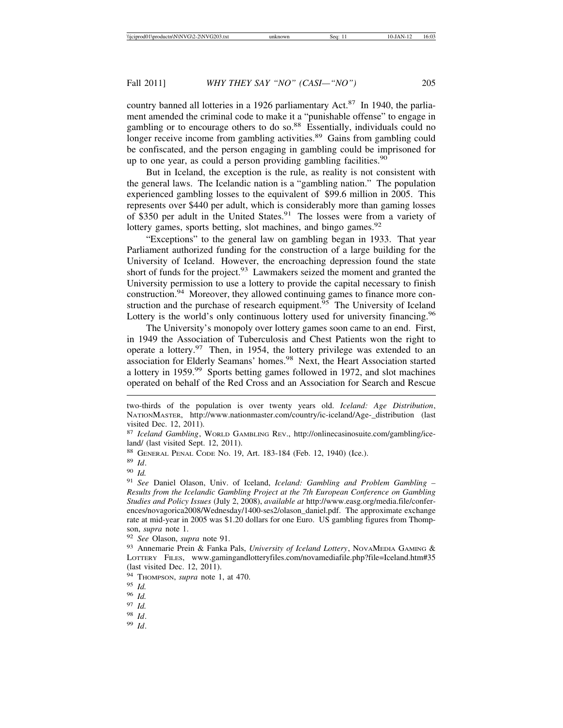country banned all lotteries in a 1926 parliamentary Act. $87$  In 1940, the parliament amended the criminal code to make it a "punishable offense" to engage in gambling or to encourage others to do so.<sup>88</sup> Essentially, individuals could no longer receive income from gambling activities.<sup>89</sup> Gains from gambling could be confiscated, and the person engaging in gambling could be imprisoned for up to one year, as could a person providing gambling facilities.<sup>90</sup>

But in Iceland, the exception is the rule, as reality is not consistent with the general laws. The Icelandic nation is a "gambling nation." The population experienced gambling losses to the equivalent of \$99.6 million in 2005. This represents over \$440 per adult, which is considerably more than gaming losses of \$350 per adult in the United States.<sup>91</sup> The losses were from a variety of lottery games, sports betting, slot machines, and bingo games.<sup>92</sup>

"Exceptions" to the general law on gambling began in 1933. That year Parliament authorized funding for the construction of a large building for the University of Iceland. However, the encroaching depression found the state short of funds for the project.<sup>93</sup> Lawmakers seized the moment and granted the University permission to use a lottery to provide the capital necessary to finish construction.94 Moreover, they allowed continuing games to finance more construction and the purchase of research equipment.<sup>95</sup> The University of Iceland Lottery is the world's only continuous lottery used for university financing.<sup>96</sup>

The University's monopoly over lottery games soon came to an end. First, in 1949 the Association of Tuberculosis and Chest Patients won the right to operate a lottery.97 Then, in 1954, the lottery privilege was extended to an association for Elderly Seamans' homes.98 Next, the Heart Association started a lottery in 1959.<sup>99</sup> Sports betting games followed in 1972, and slot machines operated on behalf of the Red Cross and an Association for Search and Rescue

two-thirds of the population is over twenty years old. *Iceland: Age Distribution*, NATIONMASTER, http://www.nationmaster.com/country/ic-iceland/Age-\_distribution (last visited Dec. 12, 2011).

<sup>87</sup> *Iceland Gambling*, WORLD GAMBLING REV., http://onlinecasinosuite.com/gambling/iceland/ (last visited Sept. 12, 2011).

<sup>88</sup> GENERAL PENAL CODE NO. 19, Art. 183-184 (Feb. 12, 1940) (Ice.).

<sup>89</sup> *Id*.

<sup>90</sup> *Id.*

<sup>91</sup> *See* Daniel Olason, Univ. of Iceland, *Iceland: Gambling and Problem Gambling – Results from the Icelandic Gambling Project at the 7th European Conference on Gambling Studies and Policy Issues* (July 2, 2008), *available at* http://www.easg.org/media.file/conferences/novagorica2008/Wednesday/1400-ses2/olason\_daniel.pdf. The approximate exchange rate at mid-year in 2005 was \$1.20 dollars for one Euro. US gambling figures from Thompson, *supra* note 1.

<sup>92</sup> *See* Olason, *supra* note 91.

<sup>93</sup> Annemarie Prein & Fanka Pals, *University of Iceland Lottery*, NovAMEDIA GAMING & LOTTERY FILES, www.gamingandlotteryfiles.com/novamediafile.php?file=Iceland.htm#35 (last visited Dec. 12, 2011).

<sup>94</sup> THOMPSON, *supra* note 1, at 470.

<sup>95</sup> *Id.*

<sup>96</sup> *Id.*

<sup>97</sup> *Id.*

<sup>98</sup> *Id*.

<sup>99</sup> *Id*.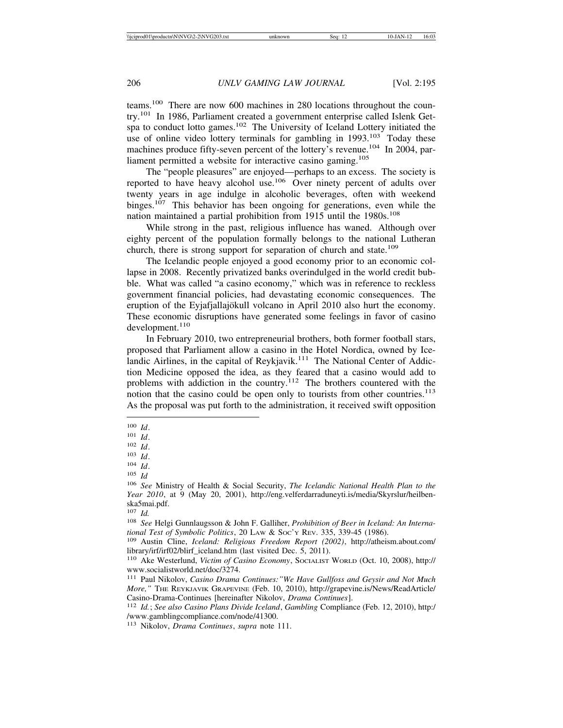teams.100 There are now 600 machines in 280 locations throughout the country.101 In 1986, Parliament created a government enterprise called Islenk Getspa to conduct lotto games.<sup>102</sup> The University of Iceland Lottery initiated the use of online video lottery terminals for gambling in  $1993$ <sup>103</sup> Today these machines produce fifty-seven percent of the lottery's revenue.<sup>104</sup> In 2004, parliament permitted a website for interactive casino gaming.<sup>105</sup>

The "people pleasures" are enjoyed—perhaps to an excess. The society is reported to have heavy alcohol use.106 Over ninety percent of adults over twenty years in age indulge in alcoholic beverages, often with weekend binges.<sup>107</sup> This behavior has been ongoing for generations, even while the nation maintained a partial prohibition from 1915 until the 1980s.<sup>108</sup>

While strong in the past, religious influence has waned. Although over eighty percent of the population formally belongs to the national Lutheran church, there is strong support for separation of church and state.<sup>109</sup>

The Icelandic people enjoyed a good economy prior to an economic collapse in 2008. Recently privatized banks overindulged in the world credit bubble. What was called "a casino economy," which was in reference to reckless government financial policies, had devastating economic consequences. The eruption of the Eyjafjallajökull volcano in April 2010 also hurt the economy. These economic disruptions have generated some feelings in favor of casino  $development.<sup>110</sup>$ 

In February 2010, two entrepreneurial brothers, both former football stars, proposed that Parliament allow a casino in the Hotel Nordica, owned by Icelandic Airlines, in the capital of Reykjavik.<sup>111</sup> The National Center of Addiction Medicine opposed the idea, as they feared that a casino would add to problems with addiction in the country.112 The brothers countered with the notion that the casino could be open only to tourists from other countries.<sup>113</sup> As the proposal was put forth to the administration, it received swift opposition

<sup>104</sup> *Id*.

<sup>105</sup> *Id*

 $\frac{100}{101}$  *Id*.

 $\frac{101}{102}$  *Id*.

<sup>102</sup> *Id*.

<sup>103</sup> *Id*.

<sup>106</sup> *See* Ministry of Health & Social Security, *The Icelandic National Health Plan to the Year 2010*, at 9 (May 20, 2001), http://eng.velferdarraduneyti.is/media/Skyrslur/heilbenska5mai.pdf.

<sup>107</sup> *Id.*

<sup>108</sup> *See* Helgi Gunnlaugsson & John F. Galliher, *Prohibition of Beer in Iceland: An International Test of Symbolic Politics*, 20 LAW & SOC'Y REV. 335, 339-45 (1986). <sup>109</sup> Austin Cline, *Iceland: Religious Freedom Report (2002)*, http://atheism.about.com/

library/irf/irf02/blirf\_iceland.htm (last visited Dec. 5, 2011).

<sup>110</sup> Ake Westerlund, *Victim of Casino Economy*, SOCIALIST WORLD (Oct. 10, 2008), http:// www.socialistworld.net/doc/3274.

<sup>111</sup> Paul Nikolov, *Casino Drama Continues:"We Have Gullfoss and Geysir and Not Much More,"* THE REYKJAVIK GRAPEVINE (Feb. 10, 2010), http://grapevine.is/News/ReadArticle/ Casino-Drama-Continues [hereinafter Nikolov, *Drama Continues*]. <sup>112</sup> *Id.*; *See also Casino Plans Divide Iceland*, *Gambling* Compliance (Feb. 12, 2010), http:/

<sup>/</sup>www.gamblingcompliance.com/node/41300.

<sup>113</sup> Nikolov, *Drama Continues*, *supra* note 111.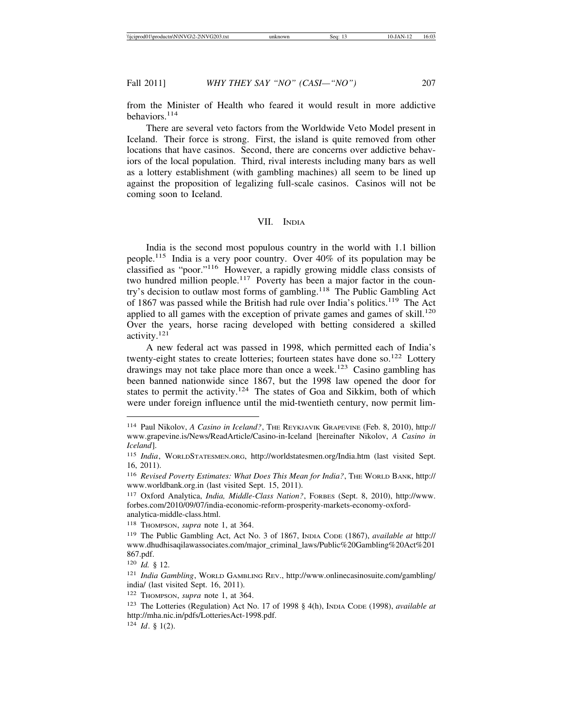from the Minister of Health who feared it would result in more addictive behaviors.<sup>114</sup>

There are several veto factors from the Worldwide Veto Model present in Iceland. Their force is strong. First, the island is quite removed from other locations that have casinos. Second, there are concerns over addictive behaviors of the local population. Third, rival interests including many bars as well as a lottery establishment (with gambling machines) all seem to be lined up against the proposition of legalizing full-scale casinos. Casinos will not be coming soon to Iceland.

## VII. INDIA

India is the second most populous country in the world with 1.1 billion people.115 India is a very poor country. Over 40% of its population may be classified as "poor."116 However, a rapidly growing middle class consists of two hundred million people.<sup>117</sup> Poverty has been a major factor in the country's decision to outlaw most forms of gambling.<sup>118</sup> The Public Gambling Act of 1867 was passed while the British had rule over India's politics.119 The Act applied to all games with the exception of private games and games of skill.<sup>120</sup> Over the years, horse racing developed with betting considered a skilled activity.<sup>121</sup>

A new federal act was passed in 1998, which permitted each of India's twenty-eight states to create lotteries; fourteen states have done so.<sup>122</sup> Lottery drawings may not take place more than once a week.<sup>123</sup> Casino gambling has been banned nationwide since 1867, but the 1998 law opened the door for states to permit the activity.<sup>124</sup> The states of Goa and Sikkim, both of which were under foreign influence until the mid-twentieth century, now permit lim-

<sup>114</sup> Paul Nikolov, *A Casino in Iceland?*, THE REYKJAVIK GRAPEVINE (Feb. 8, 2010), http:// www.grapevine.is/News/ReadArticle/Casino-in-Iceland [hereinafter Nikolov, *A Casino in Iceland*].

<sup>115</sup> *India*, WORLDSTATESMEN.ORG, http://worldstatesmen.org/India.htm (last visited Sept. 16, 2011).

<sup>116</sup> *Revised Poverty Estimates: What Does This Mean for India?*, THE WORLD BANK, http:// www.worldbank.org.in (last visited Sept. 15, 2011).

<sup>117</sup> Oxford Analytica, *India, Middle-Class Nation?*, FORBES (Sept. 8, 2010), http://www. forbes.com/2010/09/07/india-economic-reform-prosperity-markets-economy-oxfordanalytica-middle-class.html.

<sup>118</sup> THOMPSON, *supra* note 1, at 364.

<sup>119</sup> The Public Gambling Act, Act No. 3 of 1867, INDIA CODE (1867), *available at* http:// www.dhudhisaqilawassociates.com/major\_criminal\_laws/Public%20Gambling%20Act%201 867.pdf.

<sup>120</sup> *Id.* § 12.

<sup>121</sup> *India Gambling*, WORLD GAMBLING REV., http://www.onlinecasinosuite.com/gambling/ india/ (last visited Sept. 16, 2011).

<sup>122</sup> THOMPSON, *supra* note 1, at 364.

<sup>123</sup> The Lotteries (Regulation) Act No. 17 of 1998 § 4(h), INDIA CODE (1998), *available at* http://mha.nic.in/pdfs/LotteriesAct-1998.pdf.

<sup>124</sup> *Id*. § 1(2).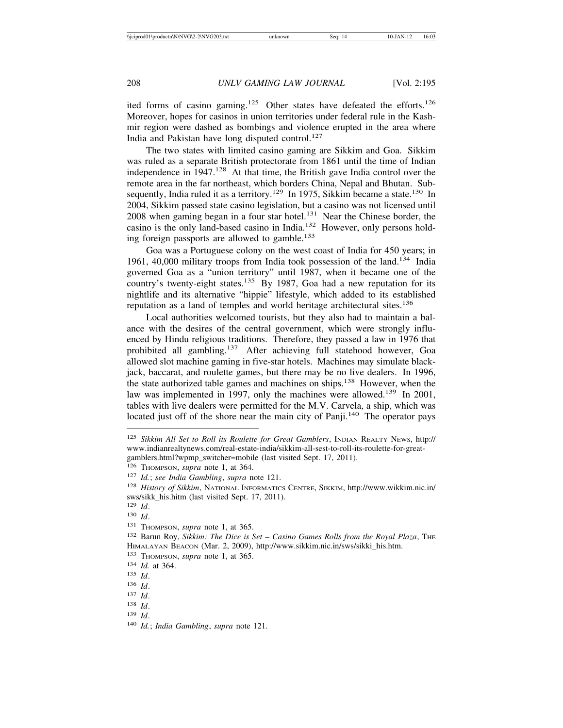ited forms of casino gaming.<sup>125</sup> Other states have defeated the efforts.<sup>126</sup> Moreover, hopes for casinos in union territories under federal rule in the Kashmir region were dashed as bombings and violence erupted in the area where India and Pakistan have long disputed control. $127$ 

The two states with limited casino gaming are Sikkim and Goa. Sikkim was ruled as a separate British protectorate from 1861 until the time of Indian independence in  $1947<sup>128</sup>$  At that time, the British gave India control over the remote area in the far northeast, which borders China, Nepal and Bhutan. Subsequently, India ruled it as a territory.<sup>129</sup> In 1975, Sikkim became a state.<sup>130</sup> In 2004, Sikkim passed state casino legislation, but a casino was not licensed until  $2008$  when gaming began in a four star hotel.<sup>131</sup> Near the Chinese border, the casino is the only land-based casino in India.132 However, only persons holding foreign passports are allowed to gamble.<sup>133</sup>

Goa was a Portuguese colony on the west coast of India for 450 years; in 1961, 40,000 military troops from India took possession of the land.134 India governed Goa as a "union territory" until 1987, when it became one of the country's twenty-eight states.<sup>135</sup> By 1987, Goa had a new reputation for its nightlife and its alternative "hippie" lifestyle, which added to its established reputation as a land of temples and world heritage architectural sites.<sup>136</sup>

Local authorities welcomed tourists, but they also had to maintain a balance with the desires of the central government, which were strongly influenced by Hindu religious traditions. Therefore, they passed a law in 1976 that prohibited all gambling.137 After achieving full statehood however, Goa allowed slot machine gaming in five-star hotels. Machines may simulate blackjack, baccarat, and roulette games, but there may be no live dealers. In 1996, the state authorized table games and machines on ships.<sup>138</sup> However, when the law was implemented in 1997, only the machines were allowed.<sup>139</sup> In 2001, tables with live dealers were permitted for the M.V. Carvela, a ship, which was located just off of the shore near the main city of Panji.<sup>140</sup> The operator pays

<sup>&</sup>lt;sup>125</sup> Sikkim All Set to Roll its Roulette for Great Gamblers, INDIAN REALTY NEWS, http:// www.indianrealtynews.com/real-estate-india/sikkim-all-sest-to-roll-its-roulette-for-greatgamblers.html?wpmp\_switcher=mobile (last visited Sept. 17, 2011).

<sup>126</sup> THOMPSON, *supra* note 1, at 364.

<sup>127</sup> *Id.*; *see India Gambling*, *supra* note 121.

<sup>128</sup> *History of Sikkim*, NATIONAL INFORMATICS CENTRE, SIKKIM, http://www.wikkim.nic.in/ sws/sikk\_his.hitm (last visited Sept. 17, 2011).

<sup>129</sup> *Id*.

<sup>130</sup> *Id*.

<sup>131</sup> THOMPSON, *supra* note 1, at 365.

<sup>&</sup>lt;sup>132</sup> Barun Roy, *Sikkim: The Dice is Set - Casino Games Rolls from the Royal Plaza*, THE HIMALAYAN BEACON (Mar. 2, 2009), http://www.sikkim.nic.in/sws/sikki\_his.htm.

<sup>133</sup> THOMPSON, *supra* note 1, at 365.

<sup>134</sup> *Id.* at 364.

<sup>135</sup> *Id*.

<sup>136</sup> *Id*.

<sup>137</sup> *Id*.

<sup>138</sup> *Id*.

<sup>139</sup> *Id*.

<sup>140</sup> *Id.*; *India Gambling*, *supra* note 121.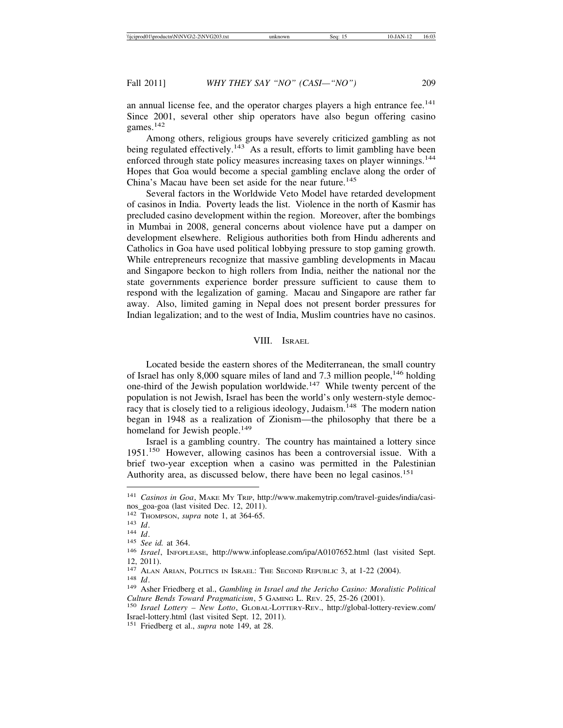an annual license fee, and the operator charges players a high entrance fee.<sup>141</sup> Since 2001, several other ship operators have also begun offering casino games.<sup>142</sup>

Among others, religious groups have severely criticized gambling as not being regulated effectively.<sup>143</sup> As a result, efforts to limit gambling have been enforced through state policy measures increasing taxes on player winnings.<sup>144</sup> Hopes that Goa would become a special gambling enclave along the order of China's Macau have been set aside for the near future.<sup>145</sup>

Several factors in the Worldwide Veto Model have retarded development of casinos in India. Poverty leads the list. Violence in the north of Kasmir has precluded casino development within the region. Moreover, after the bombings in Mumbai in 2008, general concerns about violence have put a damper on development elsewhere. Religious authorities both from Hindu adherents and Catholics in Goa have used political lobbying pressure to stop gaming growth. While entrepreneurs recognize that massive gambling developments in Macau and Singapore beckon to high rollers from India, neither the national nor the state governments experience border pressure sufficient to cause them to respond with the legalization of gaming. Macau and Singapore are rather far away. Also, limited gaming in Nepal does not present border pressures for Indian legalization; and to the west of India, Muslim countries have no casinos.

#### VIII. ISRAEL

Located beside the eastern shores of the Mediterranean, the small country of Israel has only 8,000 square miles of land and 7.3 million people,  $146$  holding one-third of the Jewish population worldwide.<sup>147</sup> While twenty percent of the population is not Jewish, Israel has been the world's only western-style democracy that is closely tied to a religious ideology, Judaism.<sup>148</sup> The modern nation began in 1948 as a realization of Zionism—the philosophy that there be a homeland for Jewish people.<sup>149</sup>

Israel is a gambling country. The country has maintained a lottery since 1951.150 However, allowing casinos has been a controversial issue. With a brief two-year exception when a casino was permitted in the Palestinian Authority area, as discussed below, there have been no legal casinos.<sup>151</sup>

<sup>141</sup> *Casinos in Goa*, MAKE MY TRIP, http://www.makemytrip.com/travel-guides/india/casinos\_goa-goa (last visited Dec. 12, 2011).<br><sup>142</sup> Thompson, *supra* note 1, at 364-65.

<sup>&</sup>lt;sup>143</sup> Id.<br><sup>144</sup> Id.<br><sup>145</sup> *See id.* at 364.<br><sup>146</sup> *Israel*, INFOPLEASE, http://www.infoplease.com/ipa/A0107652.html (last visited Sept. 12, 2011).<br><sup>147</sup> Alan Arian, Politics in Israel: The Second Republic 3, at 1-22 (2004).

<sup>148</sup> *Id.*<br><sup>149</sup> Asher Friedberg et al., *Gambling in Israel and the Jericho Casino: Moralistic Political Culture Bends Toward Pragmaticism*, 5 GAMING L. REV. 25, 25-26 (2001). <sup>150</sup> *Israel Lottery – New Lotto*, GLOBAL-LOTTERY-REV., http://global-lottery-review.com/

Israel-lottery.html (last visited Sept. 12, 2011).

<sup>151</sup> Friedberg et al., *supra* note 149, at 28.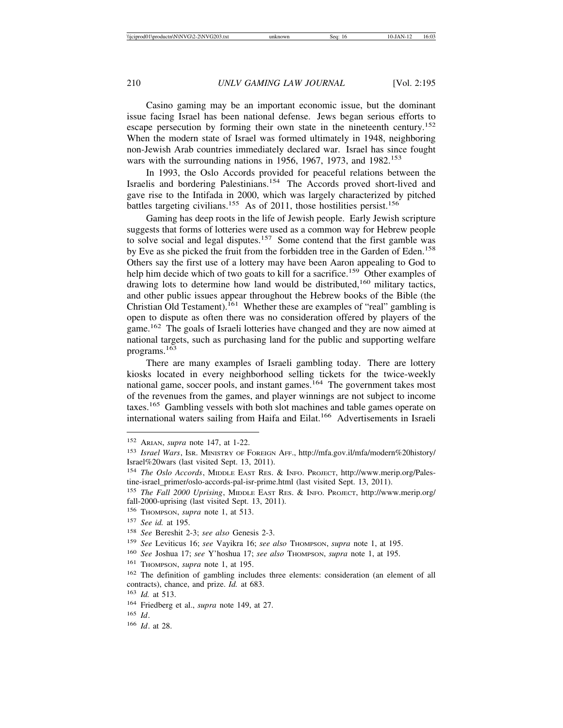Casino gaming may be an important economic issue, but the dominant issue facing Israel has been national defense. Jews began serious efforts to escape persecution by forming their own state in the nineteenth century.<sup>152</sup> When the modern state of Israel was formed ultimately in 1948, neighboring non-Jewish Arab countries immediately declared war. Israel has since fought wars with the surrounding nations in 1956, 1967, 1973, and  $1982$ <sup>153</sup>

In 1993, the Oslo Accords provided for peaceful relations between the Israelis and bordering Palestinians.154 The Accords proved short-lived and gave rise to the Intifada in 2000, which was largely characterized by pitched battles targeting civilians.<sup>155</sup> As of 2011, those hostilities persist.<sup>156</sup>

Gaming has deep roots in the life of Jewish people. Early Jewish scripture suggests that forms of lotteries were used as a common way for Hebrew people to solve social and legal disputes.<sup>157</sup> Some contend that the first gamble was by Eve as she picked the fruit from the forbidden tree in the Garden of Eden.<sup>158</sup> Others say the first use of a lottery may have been Aaron appealing to God to help him decide which of two goats to kill for a sacrifice.<sup>159</sup> Other examples of drawing lots to determine how land would be distributed,<sup>160</sup> military tactics, and other public issues appear throughout the Hebrew books of the Bible (the Christian Old Testament).<sup>161</sup> Whether these are examples of "real" gambling is open to dispute as often there was no consideration offered by players of the game.<sup>162</sup> The goals of Israeli lotteries have changed and they are now aimed at national targets, such as purchasing land for the public and supporting welfare programs.163

There are many examples of Israeli gambling today. There are lottery kiosks located in every neighborhood selling tickets for the twice-weekly national game, soccer pools, and instant games.<sup>164</sup> The government takes most of the revenues from the games, and player winnings are not subject to income taxes.165 Gambling vessels with both slot machines and table games operate on international waters sailing from Haifa and Eilat.<sup>166</sup> Advertisements in Israeli

<sup>154</sup> *The Oslo Accords*, MIDDLE EAST RES. & INFO. PROJECT, http://www.merip.org/Palestine-israel\_primer/oslo-accords-pal-isr-prime.html (last visited Sept. 13, 2011).

<sup>152</sup> ARIAN, *supra* note 147, at 1-22.

<sup>153</sup> *Israel Wars*, ISR. MINISTRY OF FOREIGN AFF., http://mfa.gov.il/mfa/modern%20history/ Israel%20wars (last visited Sept. 13, 2011).

<sup>155</sup> *The Fall 2000 Uprising*, MIDDLE EAST RES. & INFO. PROJECT, http://www.merip.org/ fall-2000-uprising (last visited Sept. 13, 2011).

<sup>156</sup> THOMPSON, *supra* note 1, at 513.

<sup>157</sup> *See id.* at 195.

<sup>158</sup> *See* Bereshit 2-3; *see also* Genesis 2-3.

<sup>159</sup> *See* Leviticus 16; *see* Vayikra 16; *see also* THOMPSON, *supra* note 1, at 195.

<sup>&</sup>lt;sup>160</sup> *See* Joshua 17; *see* Y'hoshua 17; *see also* Thompson, *supra* note 1, at 195.

<sup>161</sup> THOMPSON, *supra* note 1, at 195.

<sup>162</sup> The definition of gambling includes three elements: consideration (an element of all contracts), chance, and prize. *Id.* at 683.

<sup>163</sup> *Id.* at 513.

<sup>164</sup> Friedberg et al., *supra* note 149, at 27.

<sup>165</sup> *Id*.

<sup>166</sup> *Id*. at 28.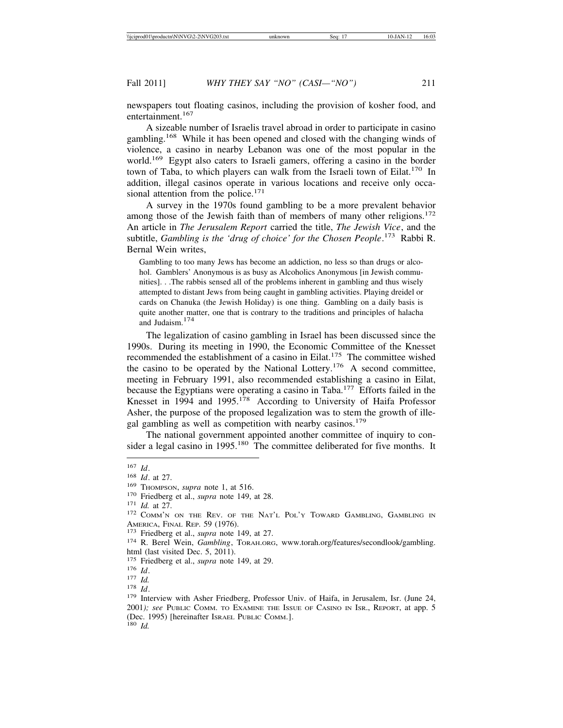newspapers tout floating casinos, including the provision of kosher food, and entertainment.<sup>167</sup>

A sizeable number of Israelis travel abroad in order to participate in casino gambling.168 While it has been opened and closed with the changing winds of violence, a casino in nearby Lebanon was one of the most popular in the world.169 Egypt also caters to Israeli gamers, offering a casino in the border town of Taba, to which players can walk from the Israeli town of Eilat.<sup>170</sup> In addition, illegal casinos operate in various locations and receive only occasional attention from the police.<sup>171</sup>

A survey in the 1970s found gambling to be a more prevalent behavior among those of the Jewish faith than of members of many other religions.<sup>172</sup> An article in *The Jerusalem Report* carried the title, *The Jewish Vice*, and the subtitle, *Gambling is the 'drug of choice' for the Chosen People*. 173 Rabbi R. Bernal Wein writes,

Gambling to too many Jews has become an addiction, no less so than drugs or alcohol. Gamblers' Anonymous is as busy as Alcoholics Anonymous [in Jewish communities]. . .The rabbis sensed all of the problems inherent in gambling and thus wisely attempted to distant Jews from being caught in gambling activities. Playing dreidel or cards on Chanuka (the Jewish Holiday) is one thing. Gambling on a daily basis is quite another matter, one that is contrary to the traditions and principles of halacha and Judaism.<sup>174</sup>

The legalization of casino gambling in Israel has been discussed since the 1990s. During its meeting in 1990, the Economic Committee of the Knesset recommended the establishment of a casino in Eilat.<sup>175</sup> The committee wished the casino to be operated by the National Lottery.<sup>176</sup> A second committee, meeting in February 1991, also recommended establishing a casino in Eilat, because the Egyptians were operating a casino in Taba.177 Efforts failed in the Knesset in 1994 and 1995.<sup>178</sup> According to University of Haifa Professor Asher, the purpose of the proposed legalization was to stem the growth of illegal gambling as well as competition with nearby casinos.<sup>179</sup>

The national government appointed another committee of inquiry to consider a legal casino in 1995.<sup>180</sup> The committee deliberated for five months. It

<sup>&</sup>lt;sup>167</sup> *Id.* 168 *Id.* at 27. 169 Thompson, *supra* note 1, at 516. 170 Friedberg et al., *supra* note 149, at 28. 171 *Id.* at 27. 172 Comm'n on the Rev. of the Nat'l Pol'y Toward Gambling, Gambling in AMERICA, FINAL REP. 59 (1976).<br><sup>173</sup> Friedberg et al., *supra* note 149, at 27.<br><sup>174</sup> R. Berel Wein, *Gambling*, Torah.org, www.torah.org/features/secondlook/gambling.

html (last visited Dec. 5, 2011).<br><sup>175</sup> Friedberg et al., *supra* note 149, at 29.

<sup>175</sup> *Id.*<br>
177 *Id.*<br>
178 *Id.* 179 Interview with Asher Friedberg, Professor Univ. of Haifa, in Jerusalem, Isr. (June 24, 179 Interview with Asher Friedberg, Professor Univ. of Haifa, in Jerusalem, Isr. (June 24, 2001*); see* PUBLIC COMM. TO EXAMINE THE ISSUE OF CASINO IN ISR., REPORT, at app. 5 (Dec. 1995) [hereinafter ISRAEL PUBLIC COMM.]. <sup>180</sup> *Id.*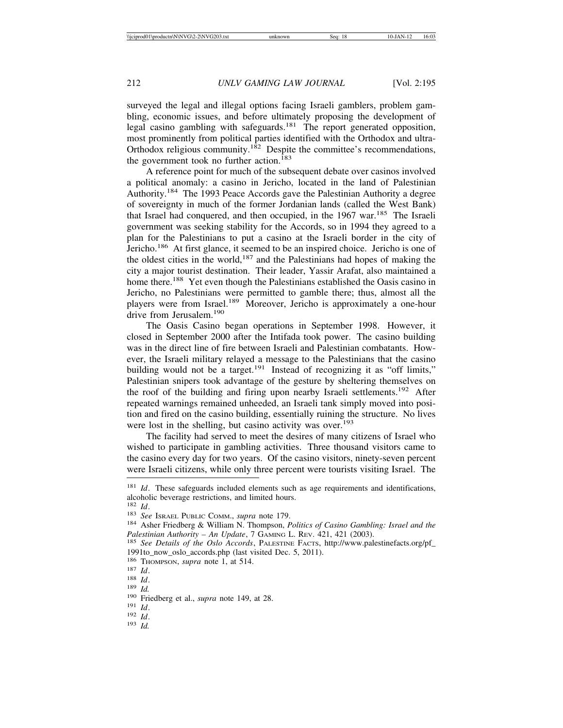surveyed the legal and illegal options facing Israeli gamblers, problem gambling, economic issues, and before ultimately proposing the development of legal casino gambling with safeguards.<sup>181</sup> The report generated opposition, most prominently from political parties identified with the Orthodox and ultra-Orthodox religious community.<sup>182</sup> Despite the committee's recommendations, the government took no further action.<sup>183</sup>

A reference point for much of the subsequent debate over casinos involved a political anomaly: a casino in Jericho, located in the land of Palestinian Authority.<sup>184</sup> The 1993 Peace Accords gave the Palestinian Authority a degree of sovereignty in much of the former Jordanian lands (called the West Bank) that Israel had conquered, and then occupied, in the  $1967$  war.<sup>185</sup> The Israeli government was seeking stability for the Accords, so in 1994 they agreed to a plan for the Palestinians to put a casino at the Israeli border in the city of Jericho.186 At first glance, it seemed to be an inspired choice. Jericho is one of the oldest cities in the world, $187$  and the Palestinians had hopes of making the city a major tourist destination. Their leader, Yassir Arafat, also maintained a home there.<sup>188</sup> Yet even though the Palestinians established the Oasis casino in Jericho, no Palestinians were permitted to gamble there; thus, almost all the players were from Israel.189 Moreover, Jericho is approximately a one-hour drive from Jerusalem.<sup>190</sup>

The Oasis Casino began operations in September 1998. However, it closed in September 2000 after the Intifada took power. The casino building was in the direct line of fire between Israeli and Palestinian combatants. However, the Israeli military relayed a message to the Palestinians that the casino building would not be a target.<sup>191</sup> Instead of recognizing it as "off limits," Palestinian snipers took advantage of the gesture by sheltering themselves on the roof of the building and firing upon nearby Israeli settlements.<sup>192</sup> After repeated warnings remained unheeded, an Israeli tank simply moved into position and fired on the casino building, essentially ruining the structure. No lives were lost in the shelling, but casino activity was over.<sup>193</sup>

The facility had served to meet the desires of many citizens of Israel who wished to participate in gambling activities. Three thousand visitors came to the casino every day for two years. Of the casino visitors, ninety-seven percent were Israeli citizens, while only three percent were tourists visiting Israel. The

<sup>&</sup>lt;sup>181</sup> *Id*. These safeguards included elements such as age requirements and identifications, alcoholic beverage restrictions, and limited hours.  $^{182}$  *Id.* 

<sup>182</sup> *Id*. <sup>183</sup> *See* ISRAEL PUBLIC COMM., *supra* note 179. <sup>184</sup> Asher Friedberg & William N. Thompson, *Politics of Casino Gambling: Israel and the Palestinian Authority – An Update*, 7 GAMING L. REV. 421, 421 (2003).<br><sup>185</sup> *See Details of the Oslo Accords*, PALESTINE FACTS, http://www.palestinefacts.org/pf\_

<sup>1991</sup>to\_now\_oslo\_accords.php (last visited Dec. 5, 2011).<br><sup>186</sup> THOMPSON, *supra* note 1, at 514.

<sup>187</sup> *Id.* 188 *Id.* 189 *Id.* 189 *Id.* 189 *Id.* 190 Friedberg et al., *supra* note 149, at 28. 191 *Id.* 193 *Id.*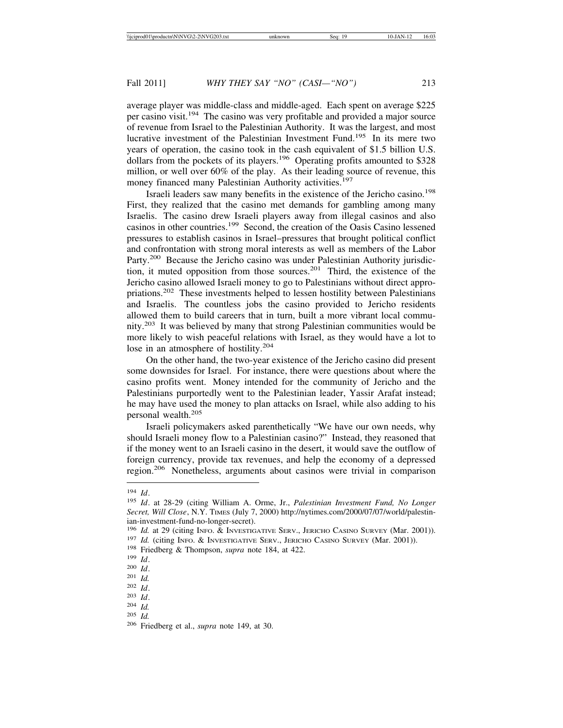average player was middle-class and middle-aged. Each spent on average \$225 per casino visit.194 The casino was very profitable and provided a major source of revenue from Israel to the Palestinian Authority. It was the largest, and most lucrative investment of the Palestinian Investment Fund.195 In its mere two years of operation, the casino took in the cash equivalent of \$1.5 billion U.S. dollars from the pockets of its players.<sup>196</sup> Operating profits amounted to \$328 million, or well over 60% of the play. As their leading source of revenue, this money financed many Palestinian Authority activities.<sup>197</sup>

Israeli leaders saw many benefits in the existence of the Jericho casino.<sup>198</sup> First, they realized that the casino met demands for gambling among many Israelis. The casino drew Israeli players away from illegal casinos and also casinos in other countries.199 Second, the creation of the Oasis Casino lessened pressures to establish casinos in Israel–pressures that brought political conflict and confrontation with strong moral interests as well as members of the Labor Party.<sup>200</sup> Because the Jericho casino was under Palestinian Authority jurisdiction, it muted opposition from those sources.<sup>201</sup> Third, the existence of the Jericho casino allowed Israeli money to go to Palestinians without direct appropriations.202 These investments helped to lessen hostility between Palestinians and Israelis. The countless jobs the casino provided to Jericho residents allowed them to build careers that in turn, built a more vibrant local community.<sup>203</sup> It was believed by many that strong Palestinian communities would be more likely to wish peaceful relations with Israel, as they would have a lot to lose in an atmosphere of hostility.<sup>204</sup>

On the other hand, the two-year existence of the Jericho casino did present some downsides for Israel. For instance, there were questions about where the casino profits went. Money intended for the community of Jericho and the Palestinians purportedly went to the Palestinian leader, Yassir Arafat instead; he may have used the money to plan attacks on Israel, while also adding to his personal wealth.<sup>205</sup>

Israeli policymakers asked parenthetically "We have our own needs, why should Israeli money flow to a Palestinian casino?" Instead, they reasoned that if the money went to an Israeli casino in the desert, it would save the outflow of foreign currency, provide tax revenues, and help the economy of a depressed region.206 Nonetheless, arguments about casinos were trivial in comparison

<sup>194</sup> *Id*. <sup>195</sup> *Id*. at 28-29 (citing William A. Orme, Jr., *Palestinian Investment Fund, No Longer Secret, Will Close*, N.Y. TIMES (July 7, 2000) http://nytimes.com/2000/07/07/world/palestinian-investment-fund-no-longer-secret).<br><sup>196</sup> Id. at 29 (citing INFO. & INVESTIGATIVE SERV., JERICHO CASINO SURVEY (Mar. 2001)).

<sup>&</sup>lt;sup>197</sup> *Id.* (citing INFO. & INVESTIGATIVE SERV., JERICHO CASINO SURVEY (Mar. 2001)).<br><sup>198</sup> Friedberg & Thompson, *supra* note 184, at 422.<br><sup>199</sup> *Id.*<br><sup>200</sup> *Id.*<br><sup>201</sup> *Id.*<br><sup>202</sup> *Id.* 

<sup>202</sup> *Id*. <sup>203</sup> *Id*. <sup>204</sup> *Id.* <sup>205</sup> *Id.* <sup>206</sup> Friedberg et al., *supra* note 149, at 30.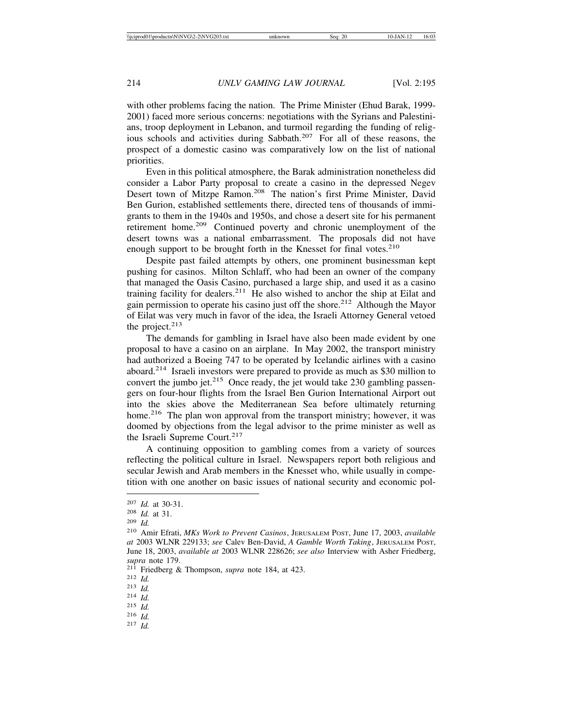with other problems facing the nation. The Prime Minister (Ehud Barak, 1999- 2001) faced more serious concerns: negotiations with the Syrians and Palestinians, troop deployment in Lebanon, and turmoil regarding the funding of religious schools and activities during Sabbath.<sup>207</sup> For all of these reasons, the prospect of a domestic casino was comparatively low on the list of national priorities.

Even in this political atmosphere, the Barak administration nonetheless did consider a Labor Party proposal to create a casino in the depressed Negev Desert town of Mitzpe Ramon.<sup>208</sup> The nation's first Prime Minister, David Ben Gurion, established settlements there, directed tens of thousands of immigrants to them in the 1940s and 1950s, and chose a desert site for his permanent retirement home.209 Continued poverty and chronic unemployment of the desert towns was a national embarrassment. The proposals did not have enough support to be brought forth in the Knesset for final votes.<sup>210</sup>

Despite past failed attempts by others, one prominent businessman kept pushing for casinos. Milton Schlaff, who had been an owner of the company that managed the Oasis Casino, purchased a large ship, and used it as a casino training facility for dealers.<sup>211</sup> He also wished to anchor the ship at Eilat and gain permission to operate his casino just off the shore.<sup>212</sup> Although the Mayor of Eilat was very much in favor of the idea, the Israeli Attorney General vetoed the project.<sup>213</sup>

The demands for gambling in Israel have also been made evident by one proposal to have a casino on an airplane. In May 2002, the transport ministry had authorized a Boeing 747 to be operated by Icelandic airlines with a casino aboard.214 Israeli investors were prepared to provide as much as \$30 million to convert the jumbo jet. $215$  Once ready, the jet would take 230 gambling passengers on four-hour flights from the Israel Ben Gurion International Airport out into the skies above the Mediterranean Sea before ultimately returning home.<sup>216</sup> The plan won approval from the transport ministry; however, it was doomed by objections from the legal advisor to the prime minister as well as the Israeli Supreme Court.<sup>217</sup>

A continuing opposition to gambling comes from a variety of sources reflecting the political culture in Israel. Newspapers report both religious and secular Jewish and Arab members in the Knesset who, while usually in competition with one another on basic issues of national security and economic pol-

<sup>207</sup> *Id.* at 30-31. <sup>208</sup> *Id.* at 31. <sup>209</sup> *Id.* <sup>210</sup> Amir Efrati, *MKs Work to Prevent Casinos*, JERUSALEM POST, June 17, 2003, *available at* 2003 WLNR 229133; *see* Calev Ben-David, *A Gamble Worth Taking*, JERUSALEM POST, June 18, 2003, *available at* 2003 WLNR 228626; *see also* Interview with Asher Friedberg, *supra* note 179. <sup>211</sup> Friedberg & Thompson, *supra* note 184, at 423. <sup>212</sup> *Id.* <sup>213</sup> *Id.* <sup>214</sup> *Id.* <sup>215</sup> *Id.* <sup>216</sup> *Id.* <sup>217</sup> *Id.*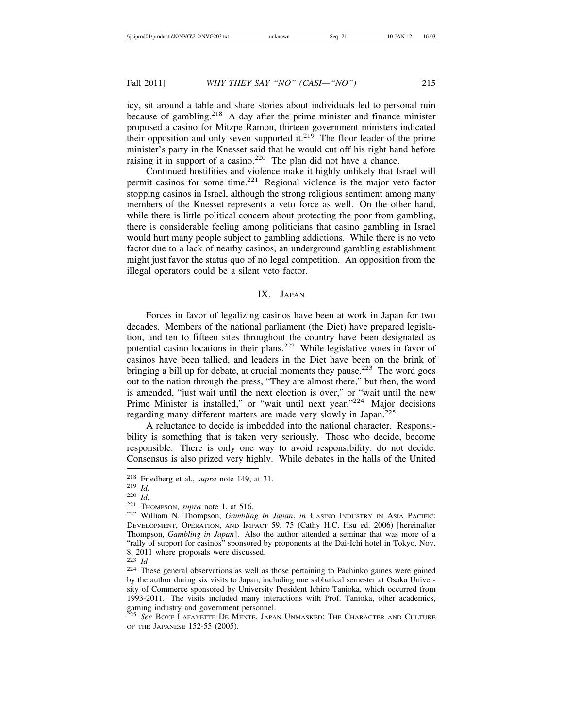icy, sit around a table and share stories about individuals led to personal ruin because of gambling.<sup>218</sup> A day after the prime minister and finance minister proposed a casino for Mitzpe Ramon, thirteen government ministers indicated their opposition and only seven supported it. $219$  The floor leader of the prime minister's party in the Knesset said that he would cut off his right hand before raising it in support of a casino.<sup>220</sup> The plan did not have a chance.

Continued hostilities and violence make it highly unlikely that Israel will permit casinos for some time.221 Regional violence is the major veto factor stopping casinos in Israel, although the strong religious sentiment among many members of the Knesset represents a veto force as well. On the other hand, while there is little political concern about protecting the poor from gambling, there is considerable feeling among politicians that casino gambling in Israel would hurt many people subject to gambling addictions. While there is no veto factor due to a lack of nearby casinos, an underground gambling establishment might just favor the status quo of no legal competition. An opposition from the illegal operators could be a silent veto factor.

## IX. JAPAN

Forces in favor of legalizing casinos have been at work in Japan for two decades. Members of the national parliament (the Diet) have prepared legislation, and ten to fifteen sites throughout the country have been designated as potential casino locations in their plans.<sup>222</sup> While legislative votes in favor of casinos have been tallied, and leaders in the Diet have been on the brink of bringing a bill up for debate, at crucial moments they pause.<sup>223</sup> The word goes out to the nation through the press, "They are almost there," but then, the word is amended, "just wait until the next election is over," or "wait until the new Prime Minister is installed," or "wait until next year."<sup>224</sup> Major decisions regarding many different matters are made very slowly in Japan.<sup>225</sup>

A reluctance to decide is imbedded into the national character. Responsibility is something that is taken very seriously. Those who decide, become responsible. There is only one way to avoid responsibility: do not decide. Consensus is also prized very highly. While debates in the halls of the United

<sup>218</sup> Friedberg et al., *supra* note 149, at 31.<br>
<sup>219</sup> *Id.*<br>
<sup>220</sup> *Id.* 221 THOMPSON, *supra* note 1, at 516.<br>
<sup>222</sup> William N. Thompson, *Gambling in Japan*, *in* CASINO INDUSTRY IN ASIA PACIFIC: DEVELOPMENT, OPERATION, AND IMPACT 59, 75 (Cathy H.C. Hsu ed. 2006) [hereinafter Thompson, *Gambling in Japan*]. Also the author attended a seminar that was more of a "rally of support for casinos" sponsored by proponents at the Dai-Ichi hotel in Tokyo, Nov. 8, 2011 where proposals were discussed.<br> $^{223}$  *Id*.

<sup>&</sup>lt;sup>224</sup> These general observations as well as those pertaining to Pachinko games were gained by the author during six visits to Japan, including one sabbatical semester at Osaka University of Commerce sponsored by University President Ichiro Tanioka, which occurred from 1993-2011. The visits included many interactions with Prof. Tanioka, other academics, gaming industry and government personnel.

<sup>225</sup> *See* BOYE LAFAYETTE DE MENTE, JAPAN UNMASKED: THE CHARACTER AND CULTURE OF THE JAPANESE 152-55 (2005).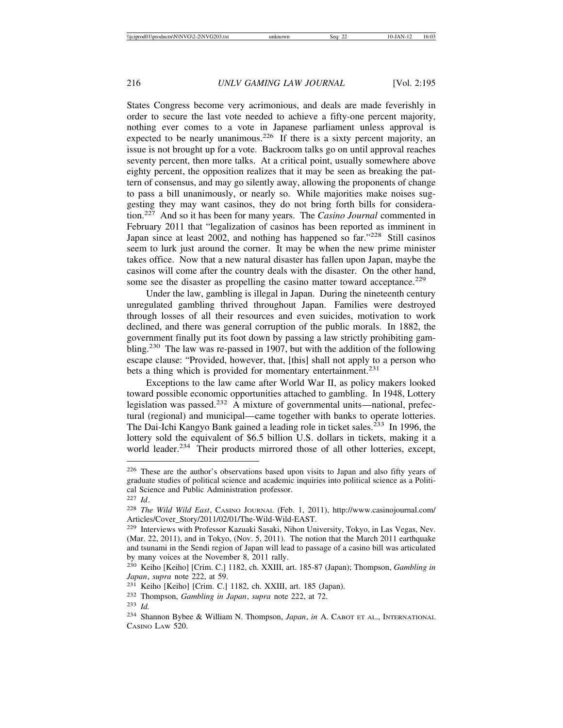States Congress become very acrimonious, and deals are made feverishly in order to secure the last vote needed to achieve a fifty-one percent majority, nothing ever comes to a vote in Japanese parliament unless approval is expected to be nearly unanimous.<sup>226</sup> If there is a sixty percent majority, an issue is not brought up for a vote. Backroom talks go on until approval reaches seventy percent, then more talks. At a critical point, usually somewhere above eighty percent, the opposition realizes that it may be seen as breaking the pattern of consensus, and may go silently away, allowing the proponents of change to pass a bill unanimously, or nearly so. While majorities make noises suggesting they may want casinos, they do not bring forth bills for consideration.227 And so it has been for many years. The *Casino Journal* commented in February 2011 that "legalization of casinos has been reported as imminent in Japan since at least 2002, and nothing has happened so far."<sup>228</sup> Still casinos seem to lurk just around the corner. It may be when the new prime minister takes office. Now that a new natural disaster has fallen upon Japan, maybe the casinos will come after the country deals with the disaster. On the other hand, some see the disaster as propelling the casino matter toward acceptance.<sup>229</sup>

Under the law, gambling is illegal in Japan. During the nineteenth century unregulated gambling thrived throughout Japan. Families were destroyed through losses of all their resources and even suicides, motivation to work declined, and there was general corruption of the public morals. In 1882, the government finally put its foot down by passing a law strictly prohibiting gambling.230 The law was re-passed in 1907, but with the addition of the following escape clause: "Provided, however, that, [this] shall not apply to a person who bets a thing which is provided for momentary entertainment.<sup>231</sup>

Exceptions to the law came after World War II, as policy makers looked toward possible economic opportunities attached to gambling. In 1948, Lottery legislation was passed.232 A mixture of governmental units—national, prefectural (regional) and municipal—came together with banks to operate lotteries. The Dai-Ichi Kangyo Bank gained a leading role in ticket sales.<sup>233</sup> In 1996, the lottery sold the equivalent of \$6.5 billion U.S. dollars in tickets, making it a world leader.<sup>234</sup> Their products mirrored those of all other lotteries, except,

<sup>226</sup> These are the author's observations based upon visits to Japan and also fifty years of graduate studies of political science and academic inquiries into political science as a Political Science and Public Administration professor.

<sup>227</sup> *Id*.

<sup>228</sup> *The Wild Wild East*, CASINO JOURNAL (Feb. 1, 2011), http://www.casinojournal.com/ Articles/Cover\_Story/2011/02/01/The-Wild-Wild-EAST.

<sup>229</sup> Interviews with Professor Kazuaki Sasaki, Nihon University, Tokyo, in Las Vegas, Nev. (Mar. 22, 2011), and in Tokyo, (Nov. 5, 2011). The notion that the March 2011 earthquake and tsunami in the Sendi region of Japan will lead to passage of a casino bill was articulated by many voices at the November 8, 2011 rally.

<sup>230</sup> Keiho [Keiho] [Crim. C.] 1182, ch. XXIII, art. 185-87 (Japan); Thompson, *Gambling in Japan*, *supra* note 222, at 59.

<sup>&</sup>lt;sup>231</sup> Keiho [Keiho] [Crim. C.] 1182, ch. XXIII, art. 185 (Japan).

<sup>232</sup> Thompson, *Gambling in Japan*, *supra* note 222, at 72.

<sup>233</sup> *Id.*

<sup>234</sup> Shannon Bybee & William N. Thompson, *Japan*, *in* A. CABOT ET AL., INTERNATIONAL CASINO LAW 520.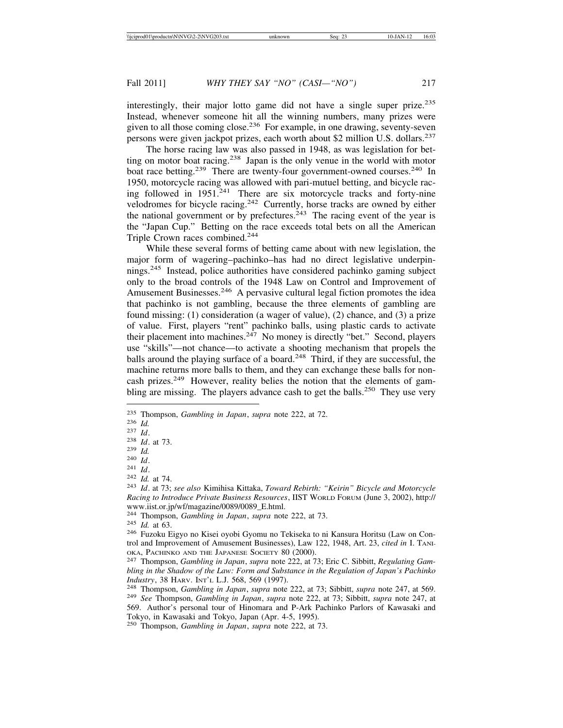interestingly, their major lotto game did not have a single super prize.<sup>235</sup> Instead, whenever someone hit all the winning numbers, many prizes were given to all those coming close.<sup>236</sup> For example, in one drawing, seventy-seven persons were given jackpot prizes, each worth about \$2 million U.S. dollars.<sup>237</sup>

The horse racing law was also passed in 1948, as was legislation for betting on motor boat racing.<sup>238</sup> Japan is the only venue in the world with motor boat race betting.<sup>239</sup> There are twenty-four government-owned courses.<sup>240</sup> In 1950, motorcycle racing was allowed with pari-mutuel betting, and bicycle racing followed in  $1951$ <sup>241</sup> There are six motorcycle tracks and forty-nine velodromes for bicycle racing.<sup>242</sup> Currently, horse tracks are owned by either the national government or by prefectures.<sup>243</sup> The racing event of the year is the "Japan Cup." Betting on the race exceeds total bets on all the American Triple Crown races combined.<sup>244</sup>

While these several forms of betting came about with new legislation, the major form of wagering–pachinko–has had no direct legislative underpinnings.245 Instead, police authorities have considered pachinko gaming subject only to the broad controls of the 1948 Law on Control and Improvement of Amusement Businesses.<sup>246</sup> A pervasive cultural legal fiction promotes the idea that pachinko is not gambling, because the three elements of gambling are found missing: (1) consideration (a wager of value), (2) chance, and (3) a prize of value. First, players "rent" pachinko balls, using plastic cards to activate their placement into machines.<sup>247</sup> No money is directly "bet." Second, players use "skills"—not chance—to activate a shooting mechanism that propels the balls around the playing surface of a board.<sup>248</sup> Third, if they are successful, the machine returns more balls to them, and they can exchange these balls for noncash prizes.<sup>249</sup> However, reality belies the notion that the elements of gambling are missing. The players advance cash to get the balls.<sup>250</sup> They use very

<sup>&</sup>lt;sup>235</sup> Thompson, *Gambling in Japan*, *supra* note 222, at 72.<br>
<sup>236</sup> *Id.*<br>
<sup>237</sup> *Id.*<br>
<sup>238</sup> *Id.* at 73.<br>
<sup>239</sup> *Id.*<br>
<sup>240</sup> *Id.*<br>
<sup>241</sup> *Id.*<br>
<sup>242</sup> *Id.* at 74.<br>
<sup>242</sup> *Id.* at 73; *see also* Kimihisa Kittaka, *Towar Racing to Introduce Private Business Resources*, IIST WORLD FORUM (June 3, 2002), http:// www.iist.or.jp/wf/magazine/0089/0089\_E.html.<br><sup>244</sup> Thompson, *Gambling in Japan, supra* note 222, at 73.

<sup>&</sup>lt;sup>245</sup> Id. at 63.<br><sup>246</sup> Fuzoku Eigyo no Kisei oyobi Gyomu no Tekiseka to ni Kansura Horitsu (Law on Control and Improvement of Amusement Businesses), Law 122, 1948, Art. 23, *cited in* I. TANI-

OKA, PACHINKO AND THE JAPANESE SOCIETY 80 (2000). <sup>247</sup> Thompson, *Gambling in Japan*, *supra* note 222, at 73; Eric C. Sibbitt, *Regulating Gambling in the Shadow of the Law: Form and Substance in the Regulation of Japan's Pachinko*

*Industry*, 38 HARV. INT'L L.J. 568, 569 (1997).<br><sup>248</sup> Thompson, *Gambling in Japan*, *supra* note 222, at 73; Sibbitt, *supra* note 247, at 569.<br><sup>249</sup> *See* Thompson, *Gambling in Japan*, *supra* note 222, at 73; Sibbitt, 569. Author's personal tour of Hinomara and P-Ark Pachinko Parlors of Kawasaki and Tokyo, in Kawasaki and Tokyo, Japan (Apr. 4-5, 1995).

<sup>250</sup> Thompson, *Gambling in Japan*, *supra* note 222, at 73.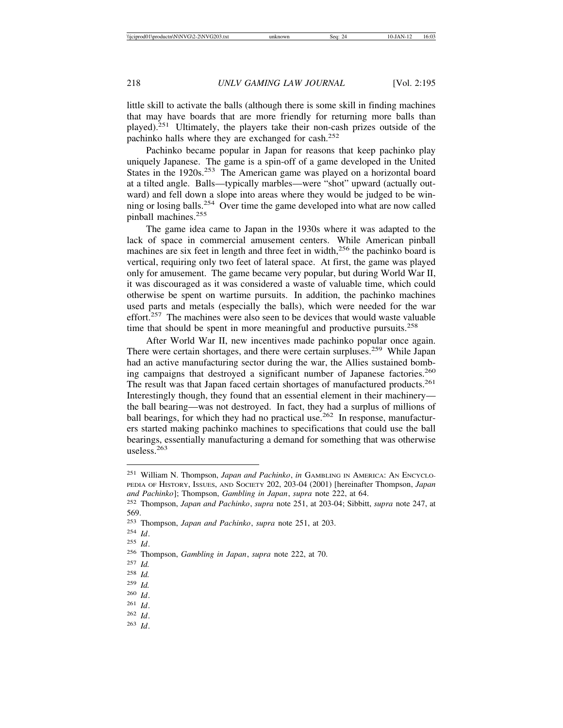little skill to activate the balls (although there is some skill in finding machines that may have boards that are more friendly for returning more balls than played).251 Ultimately, the players take their non-cash prizes outside of the pachinko halls where they are exchanged for cash.<sup>252</sup>

Pachinko became popular in Japan for reasons that keep pachinko play uniquely Japanese. The game is a spin-off of a game developed in the United States in the 1920s.<sup>253</sup> The American game was played on a horizontal board at a tilted angle. Balls—typically marbles—were "shot" upward (actually outward) and fell down a slope into areas where they would be judged to be winning or losing balls.254 Over time the game developed into what are now called pinball machines.<sup>255</sup>

The game idea came to Japan in the 1930s where it was adapted to the lack of space in commercial amusement centers. While American pinball machines are six feet in length and three feet in width, $256$  the pachinko board is vertical, requiring only two feet of lateral space. At first, the game was played only for amusement. The game became very popular, but during World War II, it was discouraged as it was considered a waste of valuable time, which could otherwise be spent on wartime pursuits. In addition, the pachinko machines used parts and metals (especially the balls), which were needed for the war effort. $257$  The machines were also seen to be devices that would waste valuable time that should be spent in more meaningful and productive pursuits.<sup>258</sup>

After World War II, new incentives made pachinko popular once again. There were certain shortages, and there were certain surpluses.<sup>259</sup> While Japan had an active manufacturing sector during the war, the Allies sustained bombing campaigns that destroyed a significant number of Japanese factories.<sup>260</sup> The result was that Japan faced certain shortages of manufactured products.<sup>261</sup> Interestingly though, they found that an essential element in their machinery the ball bearing—was not destroyed. In fact, they had a surplus of millions of ball bearings, for which they had no practical use.<sup>262</sup> In response, manufacturers started making pachinko machines to specifications that could use the ball bearings, essentially manufacturing a demand for something that was otherwise useless.<sup>263</sup>

<sup>251</sup> William N. Thompson, *Japan and Pachinko*, *in* GAMBLING IN AMERICA: AN ENCYCLO-PEDIA OF HISTORY, ISSUES, AND SOCIETY 202, 203-04 (2001) [hereinafter Thompson, *Japan and Pachinko*]; Thompson, *Gambling in Japan*, *supra* note 222, at 64.

<sup>252</sup> Thompson, *Japan and Pachinko*, *supra* note 251, at 203-04; Sibbitt, *supra* note 247, at 569.

<sup>253</sup> Thompson, *Japan and Pachinko*, *supra* note 251, at 203.

<sup>254</sup> *Id*.

<sup>255</sup> *Id*.

<sup>256</sup> Thompson, *Gambling in Japan*, *supra* note 222, at 70.

<sup>257</sup> *Id.*

<sup>258</sup> *Id.*

<sup>259</sup> *Id.*

<sup>260</sup> *Id*.

<sup>261</sup> *Id*.

<sup>262</sup> *Id*. <sup>263</sup> *Id*.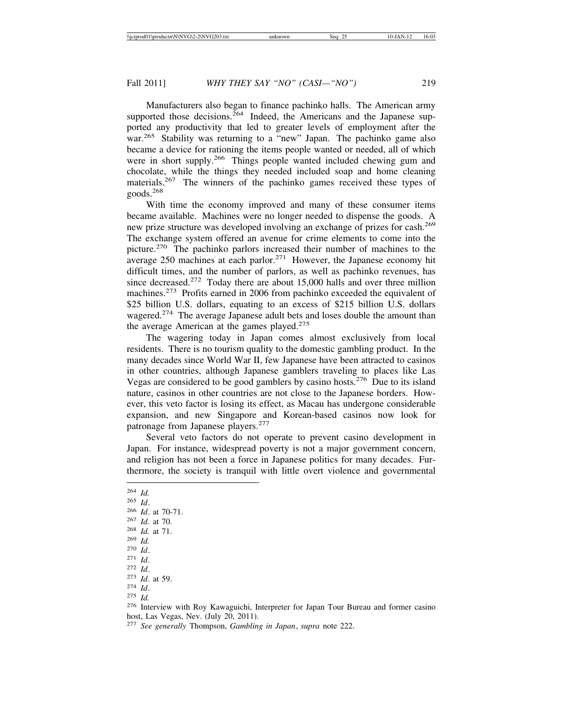Manufacturers also began to finance pachinko halls. The American army supported those decisions.<sup>264</sup> Indeed, the Americans and the Japanese supported any productivity that led to greater levels of employment after the war.<sup>265</sup> Stability was returning to a "new" Japan. The pachinko game also became a device for rationing the items people wanted or needed, all of which were in short supply.<sup>266</sup> Things people wanted included chewing gum and chocolate, while the things they needed included soap and home cleaning materials.267 The winners of the pachinko games received these types of goods.<sup>268</sup>

With time the economy improved and many of these consumer items became available. Machines were no longer needed to dispense the goods. A new prize structure was developed involving an exchange of prizes for cash.<sup>269</sup> The exchange system offered an avenue for crime elements to come into the picture.270 The pachinko parlors increased their number of machines to the average 250 machines at each parlor.<sup>271</sup> However, the Japanese economy hit difficult times, and the number of parlors, as well as pachinko revenues, has since decreased.<sup>272</sup> Today there are about 15,000 halls and over three million machines.<sup>273</sup> Profits earned in 2006 from pachinko exceeded the equivalent of \$25 billion U.S. dollars, equating to an excess of \$215 billion U.S. dollars wagered.<sup>274</sup> The average Japanese adult bets and loses double the amount than the average American at the games played. $275$ 

The wagering today in Japan comes almost exclusively from local residents. There is no tourism quality to the domestic gambling product. In the many decades since World War II, few Japanese have been attracted to casinos in other countries, although Japanese gamblers traveling to places like Las Vegas are considered to be good gamblers by casino hosts.276 Due to its island nature, casinos in other countries are not close to the Japanese borders. However, this veto factor is losing its effect, as Macau has undergone considerable expansion, and new Singapore and Korean-based casinos now look for patronage from Japanese players.<sup>277</sup>

Several veto factors do not operate to prevent casino development in Japan. For instance, widespread poverty is not a major government concern, and religion has not been a force in Japanese politics for many decades. Furthermore, the society is tranquil with little overt violence and governmental

<sup>264</sup> *Id.*

- 
- <sup>265</sup> *Id*. <sup>266</sup> *Id*. at 70-71. <sup>267</sup> *Id.* at 70. <sup>268</sup> *Id.* at 71. <sup>269</sup> *Id.*
- 
- 
- 
- 

<sup>271</sup> *Id.*<br>
272 *Id.*<br>
273 *Id.* at 59.<br>
274 *Id.*<br>
275 *Id.*<br>
276 Interview with Roy Kawaguichi, Interpreter for Japan Tour Bureau and former casino host, Las Vegas, Nev. (July 20, 2011).

<sup>277</sup> *See generally* Thompson, *Gambling in Japan*, *supra* note 222.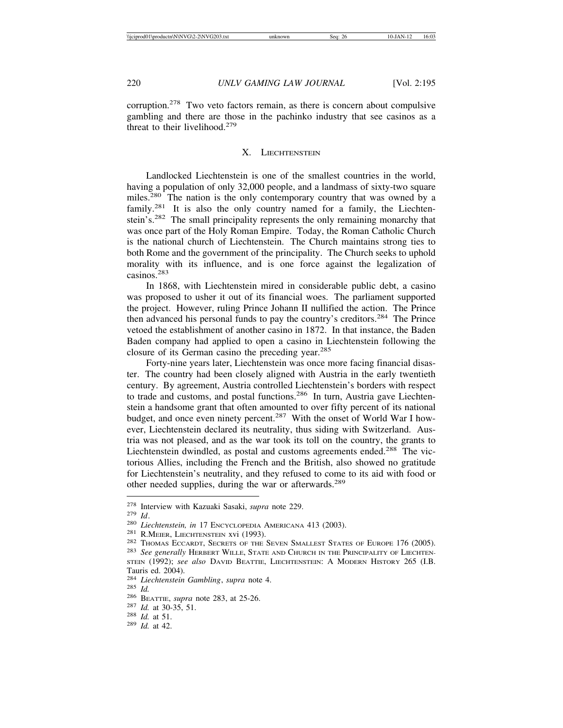corruption.278 Two veto factors remain, as there is concern about compulsive gambling and there are those in the pachinko industry that see casinos as a threat to their livelihood. $279$ 

## X. LIECHTENSTEIN

Landlocked Liechtenstein is one of the smallest countries in the world, having a population of only 32,000 people, and a landmass of sixty-two square miles.<sup>280</sup> The nation is the only contemporary country that was owned by a family.<sup>281</sup> It is also the only country named for a family, the Liechtenstein's.<sup>282</sup> The small principality represents the only remaining monarchy that was once part of the Holy Roman Empire. Today, the Roman Catholic Church is the national church of Liechtenstein. The Church maintains strong ties to both Rome and the government of the principality. The Church seeks to uphold morality with its influence, and is one force against the legalization of casinos.<sup>283</sup>

In 1868, with Liechtenstein mired in considerable public debt, a casino was proposed to usher it out of its financial woes. The parliament supported the project. However, ruling Prince Johann II nullified the action. The Prince then advanced his personal funds to pay the country's creditors.284 The Prince vetoed the establishment of another casino in 1872. In that instance, the Baden Baden company had applied to open a casino in Liechtenstein following the closure of its German casino the preceding year.<sup>285</sup>

Forty-nine years later, Liechtenstein was once more facing financial disaster. The country had been closely aligned with Austria in the early twentieth century. By agreement, Austria controlled Liechtenstein's borders with respect to trade and customs, and postal functions.<sup>286</sup> In turn, Austria gave Liechtenstein a handsome grant that often amounted to over fifty percent of its national budget, and once even ninety percent.<sup>287</sup> With the onset of World War I however, Liechtenstein declared its neutrality, thus siding with Switzerland. Austria was not pleased, and as the war took its toll on the country, the grants to Liechtenstein dwindled, as postal and customs agreements ended.<sup>288</sup> The victorious Allies, including the French and the British, also showed no gratitude for Liechtenstein's neutrality, and they refused to come to its aid with food or other needed supplies, during the war or afterwards.<sup>289</sup>

<sup>&</sup>lt;sup>278</sup> Interview with Kazuaki Sasaki, *supra* note 229.<br>
<sup>279</sup> Id.<br>
<sup>280</sup> Liechtenstein, in 17 ENCYCLOPEDIA AMERICANA 413 (2003).<br>
<sup>281</sup> R.MEIER, LIECHTENSTEIN XVI (1993).<br>
<sup>282</sup> THOMAS ECCARDT, SECRETS OF THE SEVEN SMALLE STEIN (1992); *see also* DAVID BEATTIE, LIECHTENSTEIN: A MODERN HISTORY 265 (I.B.

Tauris ed. 2004).<br><sup>284</sup> Liechtenstein Gambling, supra note 4.

<sup>285</sup> *Id.*<br>286 BEATTIE, *supra* note 283, at 25-26.<br><sup>287</sup> *Id.* at 30-35, 51.<br><sup>288</sup> *Id.* at 51. <sup>289</sup> *Id.* at 42.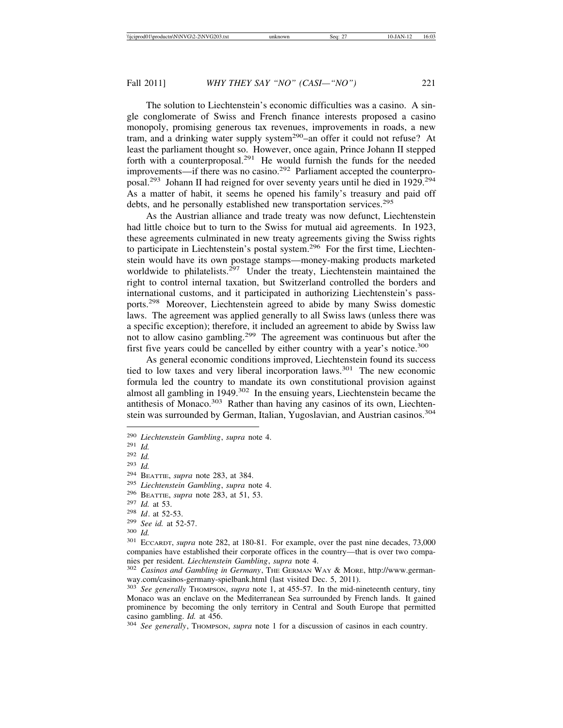The solution to Liechtenstein's economic difficulties was a casino. A single conglomerate of Swiss and French finance interests proposed a casino monopoly, promising generous tax revenues, improvements in roads, a new tram, and a drinking water supply system<sup>290</sup>-an offer it could not refuse? At least the parliament thought so. However, once again, Prince Johann II stepped forth with a counterproposal.<sup>291</sup> He would furnish the funds for the needed improvements—if there was no casino.<sup>292</sup> Parliament accepted the counterproposal.293 Johann II had reigned for over seventy years until he died in 1929.294 As a matter of habit, it seems he opened his family's treasury and paid off debts, and he personally established new transportation services.<sup>295</sup>

As the Austrian alliance and trade treaty was now defunct, Liechtenstein had little choice but to turn to the Swiss for mutual aid agreements. In 1923, these agreements culminated in new treaty agreements giving the Swiss rights to participate in Liechtenstein's postal system.<sup>296</sup> For the first time, Liechtenstein would have its own postage stamps—money-making products marketed worldwide to philatelists. $297$  Under the treaty, Liechtenstein maintained the right to control internal taxation, but Switzerland controlled the borders and international customs, and it participated in authorizing Liechtenstein's passports.298 Moreover, Liechtenstein agreed to abide by many Swiss domestic laws. The agreement was applied generally to all Swiss laws (unless there was a specific exception); therefore, it included an agreement to abide by Swiss law not to allow casino gambling.<sup>299</sup> The agreement was continuous but after the first five years could be cancelled by either country with a year's notice.<sup>300</sup>

As general economic conditions improved, Liechtenstein found its success tied to low taxes and very liberal incorporation laws.<sup>301</sup> The new economic formula led the country to mandate its own constitutional provision against almost all gambling in 1949.<sup>302</sup> In the ensuing years, Liechtenstein became the antithesis of Monaco.<sup>303</sup> Rather than having any casinos of its own, Liechtenstein was surrounded by German, Italian, Yugoslavian, and Austrian casinos.<sup>304</sup>

<sup>290</sup> *Liechtenstein Gambling*, *supra* note 4. <sup>291</sup> *Id.*

 $\frac{292}{293}$  *Id.* 

*Id.* 

<sup>&</sup>lt;sup>294</sup> BEATTIE, *supra* note 283, at 384.<br>
<sup>295</sup> Liechtenstein Gambling, *supra* note 4.<br>
<sup>296</sup> BEATTIE, *supra* note 283, at 51, 53.<br>
<sup>297</sup> Id. at 53.<br>
<sup>298</sup> Id. at 52-53.<br>
<sup>299</sup> See id. at 52-57.<br>
<sup>300</sup> Id.<br>
<sup>301</sup> ECCARD companies have established their corporate offices in the country—that is over two companies per resident. *Liechtenstein Gambling*, *supra* note 4.<br><sup>302</sup> *Casinos and Gambling in Germany*, THE GERMAN WAY & MORE, http://www.german-

way.com/casinos-germany-spielbank.html (last visited Dec. 5, 2011).

<sup>&</sup>lt;sup>303</sup> See generally THOMPSON, *supra* note 1, at 455-57. In the mid-nineteenth century, tiny Monaco was an enclave on the Mediterranean Sea surrounded by French lands. It gained prominence by becoming the only territory in Central and South Europe that permitted casino gambling. *Id.* at 456.<br><sup>304</sup> *See generally*, Thompson, *supra* note 1 for a discussion of casinos in each country.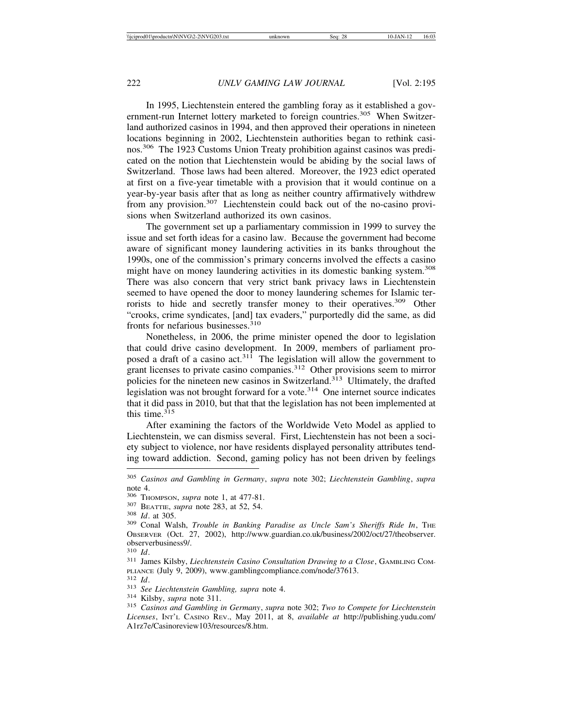In 1995, Liechtenstein entered the gambling foray as it established a government-run Internet lottery marketed to foreign countries.<sup>305</sup> When Switzerland authorized casinos in 1994, and then approved their operations in nineteen locations beginning in 2002, Liechtenstein authorities began to rethink casinos.306 The 1923 Customs Union Treaty prohibition against casinos was predicated on the notion that Liechtenstein would be abiding by the social laws of Switzerland. Those laws had been altered. Moreover, the 1923 edict operated at first on a five-year timetable with a provision that it would continue on a year-by-year basis after that as long as neither country affirmatively withdrew from any provision.<sup>307</sup> Liechtenstein could back out of the no-casino provisions when Switzerland authorized its own casinos.

The government set up a parliamentary commission in 1999 to survey the issue and set forth ideas for a casino law. Because the government had become aware of significant money laundering activities in its banks throughout the 1990s, one of the commission's primary concerns involved the effects a casino might have on money laundering activities in its domestic banking system.<sup>308</sup> There was also concern that very strict bank privacy laws in Liechtenstein seemed to have opened the door to money laundering schemes for Islamic terrorists to hide and secretly transfer money to their operatives.<sup>309</sup> Other "crooks, crime syndicates, [and] tax evaders," purportedly did the same, as did fronts for nefarious businesses.<sup>310</sup>

Nonetheless, in 2006, the prime minister opened the door to legislation that could drive casino development. In 2009, members of parliament proposed a draft of a casino  $act.^{311}$ . The legislation will allow the government to grant licenses to private casino companies.<sup>312</sup> Other provisions seem to mirror policies for the nineteen new casinos in Switzerland.<sup>313</sup> Ultimately, the drafted legislation was not brought forward for a vote. $314$  One internet source indicates that it did pass in 2010, but that that the legislation has not been implemented at this time.<sup>315</sup>

After examining the factors of the Worldwide Veto Model as applied to Liechtenstein, we can dismiss several. First, Liechtenstein has not been a society subject to violence, nor have residents displayed personality attributes tending toward addiction. Second, gaming policy has not been driven by feelings

<sup>305</sup> *Casinos and Gambling in Germany*, *supra* note 302; *Liechtenstein Gambling*, *supra* note 4.

<sup>&</sup>lt;sup>306</sup> Thompson, *supra* note 1, at 477-81.<br><sup>307</sup> BEATTIE, *supra* note 283, at 52, 54.<br><sup>308</sup> *Id.* at 305. 309 Conal Walsh, *Trouble in Banking Paradise as Uncle Sam's Sheriffs Ride In*, The OBSERVER (Oct. 27, 2002), http://www.guardian.co.uk/business/2002/oct/27/theobserver. observerbusiness9/.<br> $^{310}$  *Id*.

<sup>310</sup> *Id*. <sup>311</sup> James Kilsby, *Liechtenstein Casino Consultation Drawing to a Close*, GAMBLING COM-PLIANCE (July 9, 2009), www.gamblingcompliance.com/node/37613.<br><sup>312</sup> Id.<br><sup>313</sup> See Liechtenstein Gambling, supra note 4.<br><sup>314</sup> Kilsby, supra note 311.<br><sup>315</sup> Casinos and Gambling in Germany, supra note 302; Two to Compete f

*Licenses*, INT'L CASINO REV., May 2011, at 8, *available at* http://publishing.yudu.com/ A1rz7e/Casinoreview103/resources/8.htm.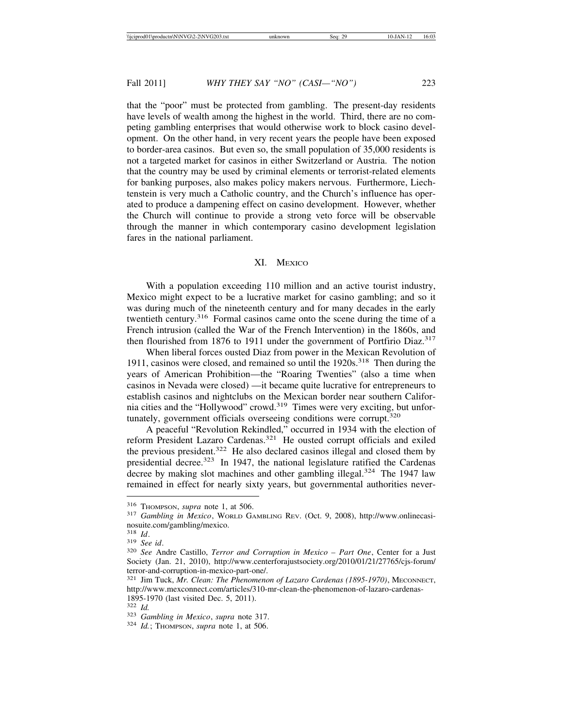that the "poor" must be protected from gambling. The present-day residents have levels of wealth among the highest in the world. Third, there are no competing gambling enterprises that would otherwise work to block casino development. On the other hand, in very recent years the people have been exposed to border-area casinos. But even so, the small population of 35,000 residents is not a targeted market for casinos in either Switzerland or Austria. The notion that the country may be used by criminal elements or terrorist-related elements for banking purposes, also makes policy makers nervous. Furthermore, Liechtenstein is very much a Catholic country, and the Church's influence has operated to produce a dampening effect on casino development. However, whether the Church will continue to provide a strong veto force will be observable through the manner in which contemporary casino development legislation fares in the national parliament.

## XI. MEXICO

With a population exceeding 110 million and an active tourist industry, Mexico might expect to be a lucrative market for casino gambling; and so it was during much of the nineteenth century and for many decades in the early twentieth century.316 Formal casinos came onto the scene during the time of a French intrusion (called the War of the French Intervention) in the 1860s, and then flourished from 1876 to 1911 under the government of Portfirio Diaz.<sup>317</sup>

When liberal forces ousted Diaz from power in the Mexican Revolution of 1911, casinos were closed, and remained so until the  $1920s$ <sup>318</sup>. Then during the years of American Prohibition—the "Roaring Twenties" (also a time when casinos in Nevada were closed) —it became quite lucrative for entrepreneurs to establish casinos and nightclubs on the Mexican border near southern California cities and the "Hollywood" crowd.<sup>319</sup> Times were very exciting, but unfortunately, government officials overseeing conditions were corrupt.<sup>320</sup>

A peaceful "Revolution Rekindled," occurred in 1934 with the election of reform President Lazaro Cardenas.321 He ousted corrupt officials and exiled the previous president.<sup>322</sup> He also declared casinos illegal and closed them by presidential decree.<sup>323</sup> In 1947, the national legislature ratified the Cardenas decree by making slot machines and other gambling illegal.<sup>324</sup> The 1947 law remained in effect for nearly sixty years, but governmental authorities never-

<sup>316</sup> THOMPSON, *supra* note 1, at 506. <sup>317</sup> *Gambling in Mexico*, WORLD GAMBLING REV. (Oct. 9, 2008), http://www.onlinecasinosuite.com/gambling/mexico.<br><sup>318</sup> Id.

<sup>318</sup> *Id*. <sup>319</sup> *See id*. <sup>320</sup> *See* Andre Castillo, *Terror and Corruption in Mexico – Part One*, Center for a Just Society (Jan. 21, 2010), http://www.centerforajustsociety.org/2010/01/21/27765/cjs-forum/ terror-and-corruption-in-mexico-part-one/.

<sup>321</sup> Jim Tuck, *Mr. Clean: The Phenomenon of Lazaro Cardenas (1895-1970)*, MECONNECT, http://www.mexconnect.com/articles/310-mr-clean-the-phenomenon-of-lazaro-cardenas-1895-1970 (last visited Dec. 5, 2011).<br><sup>322</sup> *Id*.

<sup>322</sup> *Id.* <sup>323</sup> *Gambling in Mexico*, *supra* note 317. <sup>324</sup> *Id.*; THOMPSON, *supra* note 1, at 506.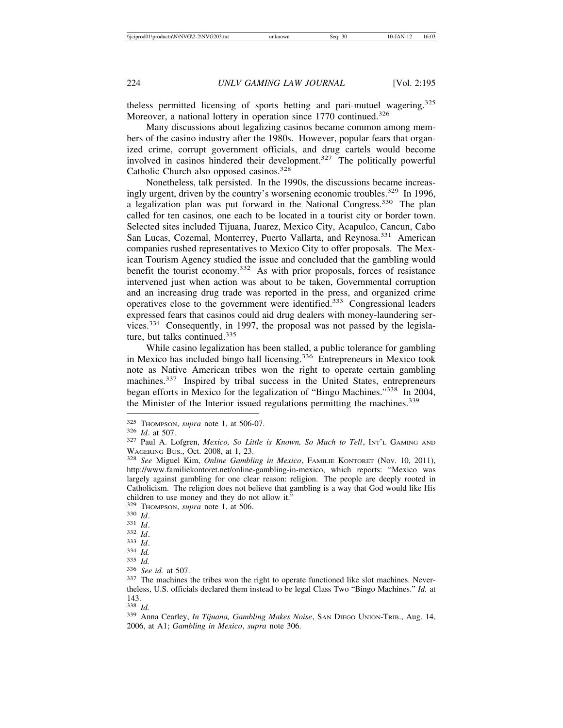theless permitted licensing of sports betting and pari-mutuel wagering.<sup>325</sup> Moreover, a national lottery in operation since 1770 continued.<sup>326</sup>

Many discussions about legalizing casinos became common among members of the casino industry after the 1980s. However, popular fears that organized crime, corrupt government officials, and drug cartels would become involved in casinos hindered their development.<sup>327</sup> The politically powerful Catholic Church also opposed casinos.<sup>328</sup>

Nonetheless, talk persisted. In the 1990s, the discussions became increasingly urgent, driven by the country's worsening economic troubles.<sup>329</sup> In 1996, a legalization plan was put forward in the National Congress.330 The plan called for ten casinos, one each to be located in a tourist city or border town. Selected sites included Tijuana, Juarez, Mexico City, Acapulco, Cancun, Cabo San Lucas, Cozemal, Monterrey, Puerto Vallarta, and Reynosa.<sup>331</sup> American companies rushed representatives to Mexico City to offer proposals. The Mexican Tourism Agency studied the issue and concluded that the gambling would benefit the tourist economy.<sup>332</sup> As with prior proposals, forces of resistance intervened just when action was about to be taken, Governmental corruption and an increasing drug trade was reported in the press, and organized crime operatives close to the government were identified.333 Congressional leaders expressed fears that casinos could aid drug dealers with money-laundering services.334 Consequently, in 1997, the proposal was not passed by the legislature, but talks continued.<sup>335</sup>

While casino legalization has been stalled, a public tolerance for gambling in Mexico has included bingo hall licensing.336 Entrepreneurs in Mexico took note as Native American tribes won the right to operate certain gambling machines.<sup>337</sup> Inspired by tribal success in the United States, entrepreneurs began efforts in Mexico for the legalization of "Bingo Machines."338 In 2004, the Minister of the Interior issued regulations permitting the machines.<sup>339</sup>

<sup>325</sup> THOMPSON, *supra* note 1, at 506-07. <sup>326</sup> *Id*. at 507. <sup>327</sup> Paul A. Lofgren, *Mexico, So Little is Known, So Much to Tell*, INT'L GAMING AND

WAGERING BUS., Oct. 2008, at 1, 23.<br><sup>328</sup> *See* Miguel Kim, *Online Gambling in Mexico*, FAMILIE KONTORET (Nov. 10, 2011), http://www.familiekontoret.net/online-gambling-in-mexico, which reports: "Mexico was largely against gambling for one clear reason: religion. The people are deeply rooted in Catholicism. The religion does not believe that gambling is a way that God would like His children to use money and they do not allow it."<br>
<sup>329</sup> THOMPSON, *supra* note 1, at 506.

<sup>330</sup> *Id.*<br>
331 *Id.*<br>
332 *Id.*<br>
333 *Id.*<br>
335 *Id.*<br>
336 *See id.* at 507.<br>
337 The machines the tribes won the right to operate functioned like slot machines. Never-<br>
337 The machines the tribes won the right to operat theless, U.S. officials declared them instead to be legal Class Two "Bingo Machines." *Id.* at  $\frac{143}{338}$  *Id.* 

<sup>&</sup>lt;sup>339</sup> Anna Cearley, *In Tijuana, Gambling Makes Noise*, SAN DIEGO UNION-TRIB., Aug. 14, 2006, at A1; *Gambling in Mexico*, *supra* note 306.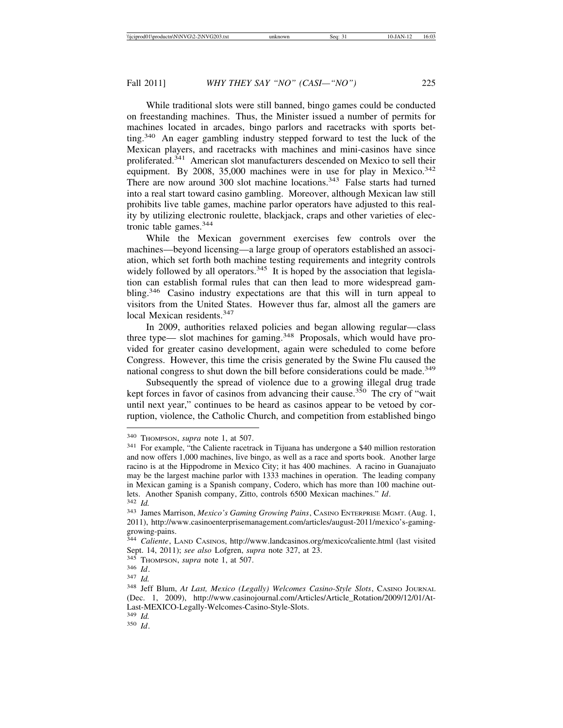While traditional slots were still banned, bingo games could be conducted on freestanding machines. Thus, the Minister issued a number of permits for machines located in arcades, bingo parlors and racetracks with sports betting.<sup>340</sup> An eager gambling industry stepped forward to test the luck of the Mexican players, and racetracks with machines and mini-casinos have since proliferated.<sup>341</sup> American slot manufacturers descended on Mexico to sell their equipment. By 2008, 35,000 machines were in use for play in Mexico.<sup>342</sup> There are now around 300 slot machine locations.<sup>343</sup> False starts had turned into a real start toward casino gambling. Moreover, although Mexican law still prohibits live table games, machine parlor operators have adjusted to this reality by utilizing electronic roulette, blackjack, craps and other varieties of electronic table games.<sup>344</sup>

While the Mexican government exercises few controls over the machines—beyond licensing—a large group of operators established an association, which set forth both machine testing requirements and integrity controls widely followed by all operators.<sup>345</sup> It is hoped by the association that legislation can establish formal rules that can then lead to more widespread gambling.346 Casino industry expectations are that this will in turn appeal to visitors from the United States. However thus far, almost all the gamers are local Mexican residents.<sup>347</sup>

In 2009, authorities relaxed policies and began allowing regular—class three type— slot machines for gaming.<sup>348</sup> Proposals, which would have provided for greater casino development, again were scheduled to come before Congress. However, this time the crisis generated by the Swine Flu caused the national congress to shut down the bill before considerations could be made.<sup>349</sup>

Subsequently the spread of violence due to a growing illegal drug trade kept forces in favor of casinos from advancing their cause.<sup>350</sup> The cry of "wait until next year," continues to be heard as casinos appear to be vetoed by corruption, violence, the Catholic Church, and competition from established bingo

<sup>340</sup> THOMPSON, *supra* note 1, at 507.

<sup>341</sup> For example, "the Caliente racetrack in Tijuana has undergone a \$40 million restoration and now offers 1,000 machines, live bingo, as well as a race and sports book. Another large racino is at the Hippodrome in Mexico City; it has 400 machines. A racino in Guanajuato may be the largest machine parlor with 1333 machines in operation. The leading company in Mexican gaming is a Spanish company, Codero, which has more than 100 machine outlets. Another Spanish company, Zitto, controls 6500 Mexican machines." *Id*. <sup>342</sup> *Id.*

<sup>343</sup> James Marrison, *Mexico's Gaming Growing Pains*, CASINO ENTERPRISE MGMT. (Aug. 1, 2011), http://www.casinoenterprisemanagement.com/articles/august-2011/mexico's-gaminggrowing-pains.

<sup>344</sup> *Caliente*, LAND CASINOS, http://www.landcasinos.org/mexico/caliente.html (last visited Sept. 14, 2011); *see also* Lofgren, *supra* note 327, at 23. 345 THOMPSON, *supra* note 1, at 507. 346 *Id*. 347 *Id.* 

<sup>348</sup> Jeff Blum, *At Last, Mexico (Legally) Welcomes Casino-Style Slots*, CASINO JOURNAL (Dec. 1, 2009), http://www.casinojournal.com/Articles/Article\_Rotation/2009/12/01/At-Last-MEXICO-Legally-Welcomes-Casino-Style-Slots.

<sup>349</sup> *Id.*

<sup>350</sup> *Id*.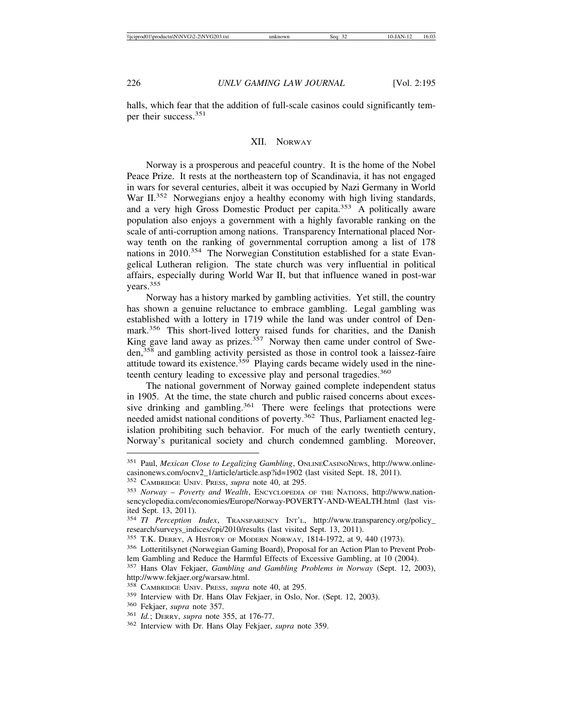halls, which fear that the addition of full-scale casinos could significantly temper their success.<sup>351</sup>

## XII. NORWAY

Norway is a prosperous and peaceful country. It is the home of the Nobel Peace Prize. It rests at the northeastern top of Scandinavia, it has not engaged in wars for several centuries, albeit it was occupied by Nazi Germany in World War II.<sup>352</sup> Norwegians enjoy a healthy economy with high living standards, and a very high Gross Domestic Product per capita.353 A politically aware population also enjoys a government with a highly favorable ranking on the scale of anti-corruption among nations. Transparency International placed Norway tenth on the ranking of governmental corruption among a list of 178 nations in 2010.354 The Norwegian Constitution established for a state Evangelical Lutheran religion. The state church was very influential in political affairs, especially during World War II, but that influence waned in post-war years.<sup>355</sup>

Norway has a history marked by gambling activities. Yet still, the country has shown a genuine reluctance to embrace gambling. Legal gambling was established with a lottery in 1719 while the land was under control of Denmark.356 This short-lived lottery raised funds for charities, and the Danish King gave land away as prizes.<sup>357</sup> Norway then came under control of Sweden,<sup>358</sup> and gambling activity persisted as those in control took a laissez-faire attitude toward its existence.<sup>359</sup> Playing cards became widely used in the nineteenth century leading to excessive play and personal tragedies.<sup>360</sup>

The national government of Norway gained complete independent status in 1905. At the time, the state church and public raised concerns about excessive drinking and gambling.<sup>361</sup> There were feelings that protections were needed amidst national conditions of poverty.<sup>362</sup> Thus, Parliament enacted legislation prohibiting such behavior. For much of the early twentieth century, Norway's puritanical society and church condemned gambling. Moreover,

<sup>351</sup> Paul, *Mexican Close to Legalizing Gambling*, ONLINECASINONEWS, http://www.onlinecasinonews.com/ocnv2\_1/article/article.asp?id=1902 (last visited Sept. 18, 2011).

<sup>352</sup> CAMBRIDGE UNIV. PRESS, *supra* note 40, at 295.

<sup>353</sup> *Norway – Poverty and Wealth*, ENCYCLOPEDIA OF THE NATIONS, http://www.nationsencyclopedia.com/economies/Europe/Norway-POVERTY-AND-WEALTH.html (last visited Sept. 13, 2011).

<sup>354</sup> *TI Perception Index*, TRANSPARENCY INT'L, http://www.transparency.org/policy\_ research/surveys\_indices/cpi/2010/results (last visited Sept. 13, 2011).

<sup>355</sup> T.K. DERRY, A HISTORY OF MODERN NORWAY, 1814-1972, at 9, 440 (1973).

<sup>356</sup> Lotteritilsynet (Norwegian Gaming Board), Proposal for an Action Plan to Prevent Problem Gambling and Reduce the Harmful Effects of Excessive Gambling, at 10 (2004).

<sup>357</sup> Hans Olav Fekjaer, *Gambling and Gambling Problems in Norway* (Sept. 12, 2003),

http://www.fekjaer.org/warsaw.html.

<sup>358</sup> CAMBRIDGE UNIV. PRESS, *supra* note 40, at 295.

<sup>359</sup> Interview with Dr. Hans Olav Fekjaer, in Oslo, Nor. (Sept. 12, 2003).

<sup>360</sup> Fekjaer, *supra* note 357.

<sup>361</sup> *Id.*; DERRY, *supra* note 355, at 176-77.

<sup>362</sup> Interview with Dr. Hans Olay Fekjaer, *supra* note 359.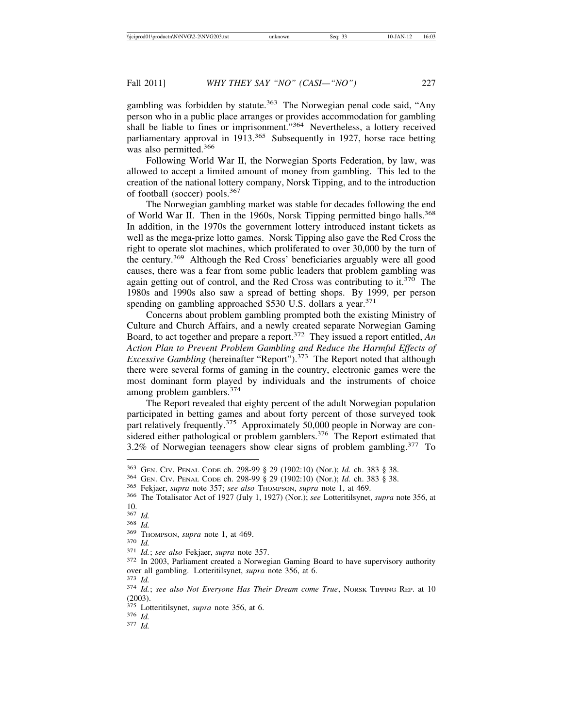gambling was forbidden by statute. $363$  The Norwegian penal code said, "Any person who in a public place arranges or provides accommodation for gambling shall be liable to fines or imprisonment."<sup>364</sup> Nevertheless, a lottery received parliamentary approval in 1913.<sup>365</sup> Subsequently in 1927, horse race betting was also permitted.<sup>366</sup>

Following World War II, the Norwegian Sports Federation, by law, was allowed to accept a limited amount of money from gambling. This led to the creation of the national lottery company, Norsk Tipping, and to the introduction of football (soccer) pools.<sup>367</sup>

The Norwegian gambling market was stable for decades following the end of World War II. Then in the 1960s, Norsk Tipping permitted bingo halls.<sup>368</sup> In addition, in the 1970s the government lottery introduced instant tickets as well as the mega-prize lotto games. Norsk Tipping also gave the Red Cross the right to operate slot machines, which proliferated to over 30,000 by the turn of the century.369 Although the Red Cross' beneficiaries arguably were all good causes, there was a fear from some public leaders that problem gambling was again getting out of control, and the Red Cross was contributing to it.<sup>370</sup> The 1980s and 1990s also saw a spread of betting shops. By 1999, per person spending on gambling approached \$530 U.S. dollars a year.<sup>371</sup>

Concerns about problem gambling prompted both the existing Ministry of Culture and Church Affairs, and a newly created separate Norwegian Gaming Board, to act together and prepare a report.372 They issued a report entitled, *An Action Plan to Prevent Problem Gambling and Reduce the Harmful Effects of Excessive Gambling* (hereinafter "Report").<sup>373</sup> The Report noted that although there were several forms of gaming in the country, electronic games were the most dominant form played by individuals and the instruments of choice among problem gamblers.<sup>374</sup>

The Report revealed that eighty percent of the adult Norwegian population participated in betting games and about forty percent of those surveyed took part relatively frequently.<sup>375</sup> Approximately 50,000 people in Norway are considered either pathological or problem gamblers.<sup>376</sup> The Report estimated that 3.2% of Norwegian teenagers show clear signs of problem gambling.377 To

<sup>367</sup> *Id.*<br>
<sup>368</sup> *Id.*<br>
<sup>369</sup> THOMPSON, *supra* note 1, at 469.<br>
<sup>370</sup> *Id.*; *see also* Fekjaer, *supra* note 357.<br>
<sup>371</sup> *Id.*; *see also* Fekjaer, *supra* note 357.<br>
<sup>372</sup> In 2003, Parliament created a Norwegian Gami

<sup>&</sup>lt;sup>363</sup> GEN. CIV. PENAL CODE ch. 298-99 § 29 (1902:10) (Nor.); *Id.* ch. 383 § 38.<br><sup>364</sup> GEN. CIV. PENAL CODE ch. 298-99 § 29 (1902:10) (Nor.); *Id.* ch. 383 § 38.<br><sup>365</sup> Fekjaer, *supra* note 357; *see also* THOMPSON, *supr*  $\frac{10}{367}$ 

<sup>&</sup>lt;sup>373</sup> *Id. Id. isee also Not Everyone Has Their Dream come True*, Norsk TIPPING REP. at 10 (2003).

<sup>375</sup> Lotteritilsynet, *supra* note 356, at 6. <sup>376</sup> *Id.* <sup>377</sup> *Id.*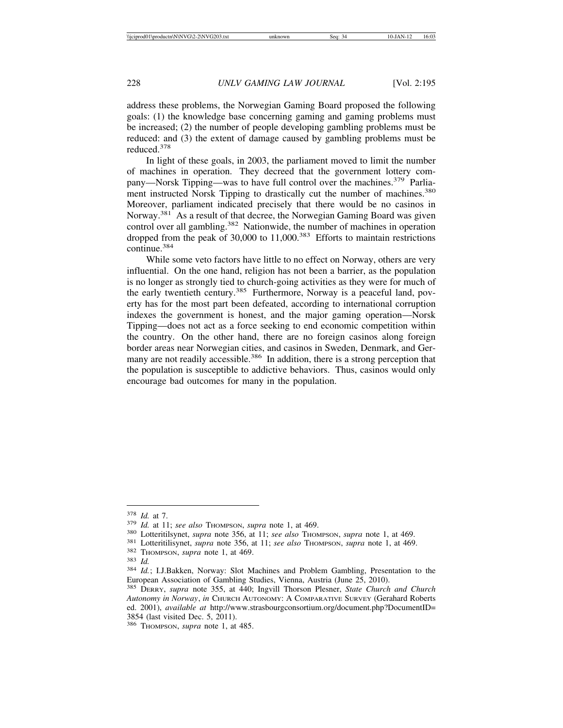address these problems, the Norwegian Gaming Board proposed the following goals: (1) the knowledge base concerning gaming and gaming problems must be increased; (2) the number of people developing gambling problems must be reduced: and (3) the extent of damage caused by gambling problems must be reduced.<sup>378</sup>

In light of these goals, in 2003, the parliament moved to limit the number of machines in operation. They decreed that the government lottery company—Norsk Tipping—was to have full control over the machines.<sup>379</sup> Parliament instructed Norsk Tipping to drastically cut the number of machines.<sup>380</sup> Moreover, parliament indicated precisely that there would be no casinos in Norway.<sup>381</sup> As a result of that decree, the Norwegian Gaming Board was given control over all gambling.<sup>382</sup> Nationwide, the number of machines in operation dropped from the peak of  $30,000$  to  $11,000$ .<sup>383</sup> Efforts to maintain restrictions continue.384

While some veto factors have little to no effect on Norway, others are very influential. On the one hand, religion has not been a barrier, as the population is no longer as strongly tied to church-going activities as they were for much of the early twentieth century.<sup>385</sup> Furthermore, Norway is a peaceful land, poverty has for the most part been defeated, according to international corruption indexes the government is honest, and the major gaming operation—Norsk Tipping—does not act as a force seeking to end economic competition within the country. On the other hand, there are no foreign casinos along foreign border areas near Norwegian cities, and casinos in Sweden, Denmark, and Germany are not readily accessible.<sup>386</sup> In addition, there is a strong perception that the population is susceptible to addictive behaviors. Thus, casinos would only encourage bad outcomes for many in the population.

<sup>&</sup>lt;sup>378</sup> *Id.* at 11; *see also* Thompson, *supra* note 1, at 469.<br><sup>379</sup> *Id.* at 11; *see also* Thompson, *supra* note 1, at 469.<br><sup>380</sup> Lotteritilisynet, *supra* note 356, at 11; *see also* Thompson, *supra* note 1, at 469. European Association of Gambling Studies, Vienna, Austria (June 25, 2010).

<sup>385</sup> DERRY, *supra* note 355, at 440; Ingvill Thorson Plesner, *State Church and Church Autonomy in Norway*, *in* CHURCH AUTONOMY: A COMPARATIVE SURVEY (Gerahard Roberts ed. 2001), *available at* http://www.strasbourgconsortium.org/document.php?DocumentID= 3854 (last visited Dec. 5, 2011).

<sup>386</sup> THOMPSON, *supra* note 1, at 485.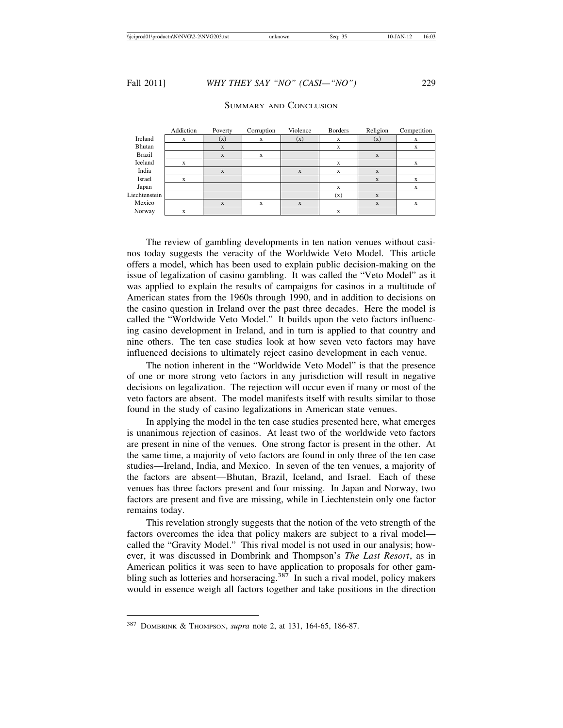SUMMARY AND CONCLUSION

|               | Addiction | Poverty      | Corruption | Violence | <b>Borders</b> | Religion | Competition |
|---------------|-----------|--------------|------------|----------|----------------|----------|-------------|
| Ireland       | X         | (x)          | x          | (x)      | X              | (x)      | X           |
| Bhutan        |           | $\mathbf{x}$ |            |          | X              |          | X           |
| <b>Brazil</b> |           | $\mathbf{x}$ | X          |          |                | X        |             |
| Iceland       | X         |              |            |          | X              |          | X           |
| India         |           | $\mathbf{x}$ |            | X        | X              | X        |             |
| Israel        | X         |              |            |          |                | X        | X           |
| Japan         |           |              |            |          | X              |          | X           |
| Liechtenstein |           |              |            |          | (x)            | X        |             |
| Mexico        |           | X            | X          | X        |                | X        | X           |
| Norway        | X         |              |            |          | X              |          |             |

The review of gambling developments in ten nation venues without casinos today suggests the veracity of the Worldwide Veto Model. This article offers a model, which has been used to explain public decision-making on the issue of legalization of casino gambling. It was called the "Veto Model" as it was applied to explain the results of campaigns for casinos in a multitude of American states from the 1960s through 1990, and in addition to decisions on the casino question in Ireland over the past three decades. Here the model is called the "Worldwide Veto Model." It builds upon the veto factors influencing casino development in Ireland, and in turn is applied to that country and nine others. The ten case studies look at how seven veto factors may have influenced decisions to ultimately reject casino development in each venue.

The notion inherent in the "Worldwide Veto Model" is that the presence of one or more strong veto factors in any jurisdiction will result in negative decisions on legalization. The rejection will occur even if many or most of the veto factors are absent. The model manifests itself with results similar to those found in the study of casino legalizations in American state venues.

In applying the model in the ten case studies presented here, what emerges is unanimous rejection of casinos. At least two of the worldwide veto factors are present in nine of the venues. One strong factor is present in the other. At the same time, a majority of veto factors are found in only three of the ten case studies—Ireland, India, and Mexico. In seven of the ten venues, a majority of the factors are absent—Bhutan, Brazil, Iceland, and Israel. Each of these venues has three factors present and four missing. In Japan and Norway, two factors are present and five are missing, while in Liechtenstein only one factor remains today.

This revelation strongly suggests that the notion of the veto strength of the factors overcomes the idea that policy makers are subject to a rival model called the "Gravity Model." This rival model is not used in our analysis; however, it was discussed in Dombrink and Thompson's *The Last Resort*, as in American politics it was seen to have application to proposals for other gambling such as lotteries and horseracing.<sup>387</sup> In such a rival model, policy makers would in essence weigh all factors together and take positions in the direction

<sup>387</sup> DOMBRINK & THOMPSON, *supra* note 2, at 131, 164-65, 186-87.